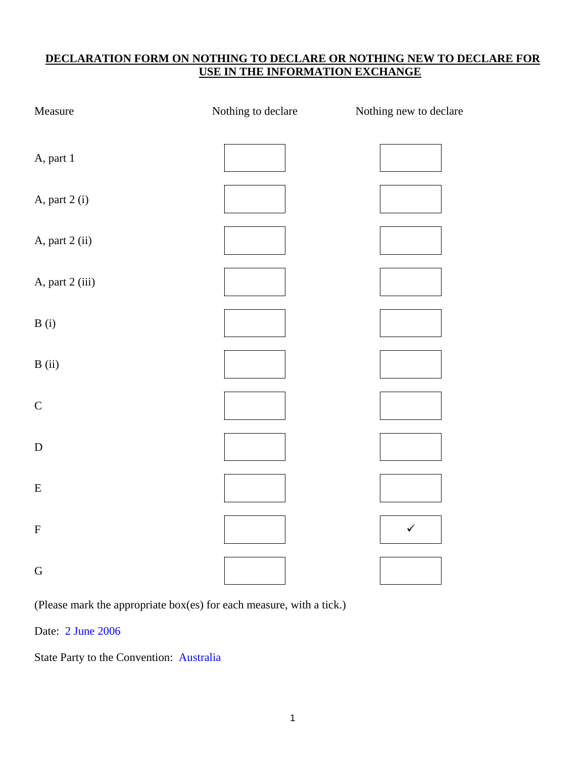# **DECLARATION FORM ON NOTHING TO DECLARE OR NOTHING NEW TO DECLARE FOR USE IN THE INFORMATION EXCHANGE**

| Measure         | Nothing to declare | Nothing new to declare |
|-----------------|--------------------|------------------------|
| A, part 1       |                    |                        |
| A, part 2 (i)   |                    |                        |
| A, part 2 (ii)  |                    |                        |
| A, part 2 (iii) |                    |                        |
| B(i)            |                    |                        |
| B(i)            |                    |                        |
| $\mathsf C$     |                    |                        |
| ${\bf D}$       |                    |                        |
| ${\bf E}$       |                    |                        |
| ${\bf F}$       |                    | $\checkmark$           |
| ${\bf G}$       |                    |                        |

(Please mark the appropriate box(es) for each measure, with a tick.)

Date: 2 June 2006

State Party to the Convention: Australia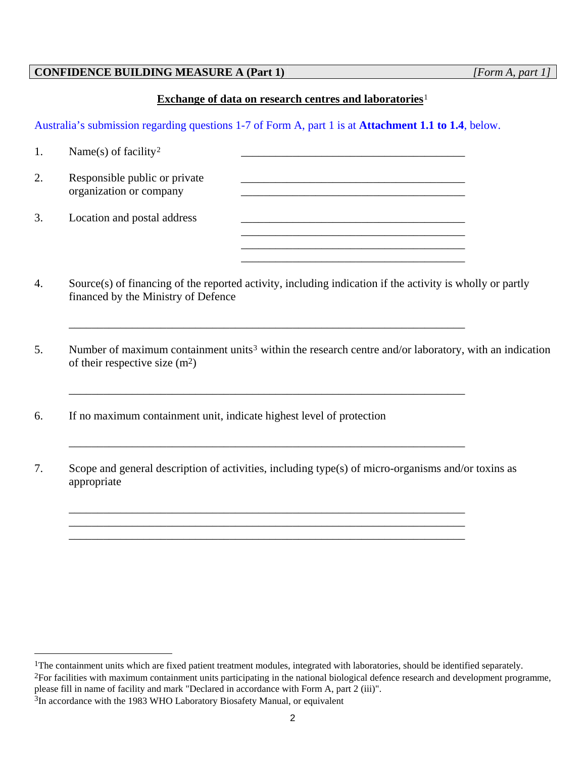#### **CONFIDENCE BUILDING MEASURE A (Part 1)** *[Form A, part 1]*

#### **Exchange of data on research centres and laboratories**[1](#page-1-0)

Australia's submission regarding questions 1-7 of Form A, part 1 is at **Attachment 1.1 to 1.4**, below.

| 1. | Name(s) of facility <sup>2</sup>                         |  |
|----|----------------------------------------------------------|--|
| 2. | Responsible public or private<br>organization or company |  |
| 3. | Location and postal address                              |  |

4. Source(s) of financing of the reported activity, including indication if the activity is wholly or partly financed by the Ministry of Defence

\_\_\_\_\_\_\_\_\_\_\_\_\_\_\_\_\_\_\_\_\_\_\_\_\_\_\_\_\_\_\_\_\_\_\_\_\_\_\_\_\_\_\_\_\_\_\_\_\_\_\_\_\_\_\_\_\_\_\_\_\_\_\_\_\_\_\_\_\_

\_\_\_\_\_\_\_\_\_\_\_\_\_\_\_\_\_\_\_\_\_\_\_\_\_\_\_\_\_\_\_\_\_\_\_\_\_\_\_\_\_\_\_\_\_\_\_\_\_\_\_\_\_\_\_\_\_\_\_\_\_\_\_\_\_\_\_\_\_

\_\_\_\_\_\_\_\_\_\_\_\_\_\_\_\_\_\_\_\_\_\_\_\_\_\_\_\_\_\_\_\_\_\_\_\_\_\_\_\_\_\_\_\_\_\_\_\_\_\_\_\_\_\_\_\_\_\_\_\_\_\_\_\_\_\_\_\_\_

\_\_\_\_\_\_\_\_\_\_\_\_\_\_\_\_\_\_\_\_\_\_\_\_\_\_\_\_\_\_\_\_\_\_\_\_\_\_\_\_\_\_\_\_\_\_\_\_\_\_\_\_\_\_\_\_\_\_\_\_\_\_\_\_\_\_\_\_\_ \_\_\_\_\_\_\_\_\_\_\_\_\_\_\_\_\_\_\_\_\_\_\_\_\_\_\_\_\_\_\_\_\_\_\_\_\_\_\_\_\_\_\_\_\_\_\_\_\_\_\_\_\_\_\_\_\_\_\_\_\_\_\_\_\_\_\_\_\_

- 5. Number of maximum containment units<sup>[3](#page-1-2)</sup> within the research centre and/or laboratory, with an indication of their respective size  $(m^2)$
- 6. If no maximum containment unit, indicate highest level of protection
- 7. Scope and general description of activities, including type(s) of micro-organisms and/or toxins as appropriate

 $\overline{a}$ 

<span id="page-1-0"></span><sup>&</sup>lt;sup>1</sup>The containment units which are fixed patient treatment modules, integrated with laboratories, should be identified separately.

<span id="page-1-1"></span><sup>&</sup>lt;sup>2</sup>For facilities with maximum containment units participating in the national biological defence research and development programme, please fill in name of facility and mark "Declared in accordance with Form A, part 2 (iii)".

<span id="page-1-2"></span><sup>&</sup>lt;sup>3</sup>In accordance with the 1983 WHO Laboratory Biosafety Manual, or equivalent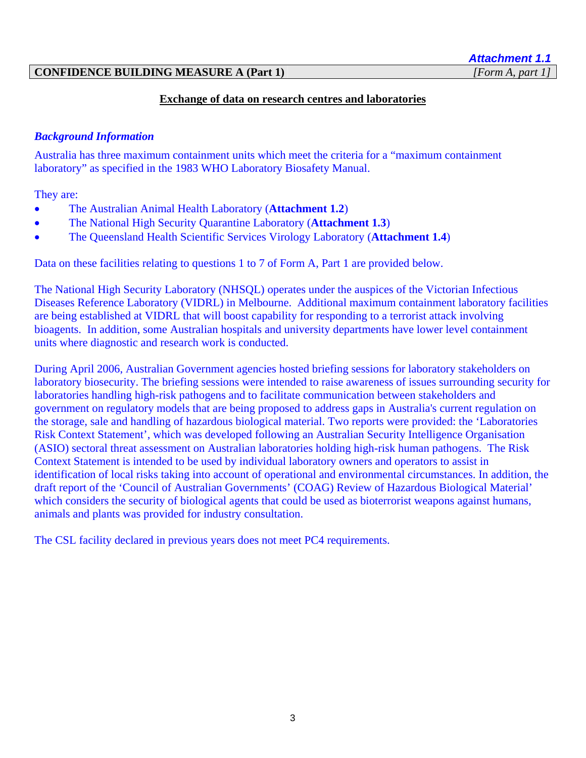#### **CONFIDENCE BUILDING MEASURE A (Part 1)** *[Form A, part 1]*

# *Attachment 1.1*

#### **Exchange of data on research centres and laboratories**

#### *Background Information*

Australia has three maximum containment units which meet the criteria for a "maximum containment laboratory" as specified in the 1983 WHO Laboratory Biosafety Manual.

They are:

- The Australian Animal Health Laboratory (**Attachment 1.2**)
- The National High Security Quarantine Laboratory (**Attachment 1.3**)
- The Queensland Health Scientific Services Virology Laboratory (**Attachment 1.4**)

Data on these facilities relating to questions 1 to 7 of Form A, Part 1 are provided below.

The National High Security Laboratory (NHSQL) operates under the auspices of the Victorian Infectious Diseases Reference Laboratory (VIDRL) in Melbourne. Additional maximum containment laboratory facilities are being established at VIDRL that will boost capability for responding to a terrorist attack involving bioagents. In addition, some Australian hospitals and university departments have lower level containment units where diagnostic and research work is conducted.

During April 2006, Australian Government agencies hosted briefing sessions for laboratory stakeholders on laboratory biosecurity. The briefing sessions were intended to raise awareness of issues surrounding security for laboratories handling high-risk pathogens and to facilitate communication between stakeholders and government on regulatory models that are being proposed to address gaps in Australia's current regulation on the storage, sale and handling of hazardous biological material. Two reports were provided: the 'Laboratories Risk Context Statement', which was developed following an Australian Security Intelligence Organisation (ASIO) sectoral threat assessment on Australian laboratories holding high-risk human pathogens. The Risk Context Statement is intended to be used by individual laboratory owners and operators to assist in identification of local risks taking into account of operational and environmental circumstances. In addition, the draft report of the 'Council of Australian Governments' (COAG) Review of Hazardous Biological Material' which considers the security of biological agents that could be used as bioterrorist weapons against humans, animals and plants was provided for industry consultation.

The CSL facility declared in previous years does not meet PC4 requirements.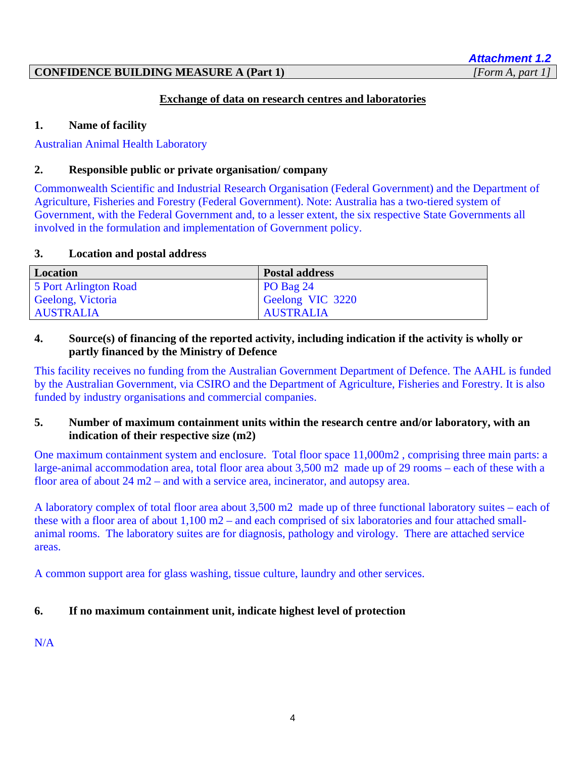# **CONFIDENCE BUILDING MEASURE A (Part 1)** *[Form A, part 1]*

#### **Exchange of data on research centres and laboratories**

#### **1. Name of facility**

Australian Animal Health Laboratory

#### **2. Responsible public or private organisation/ company**

Commonwealth Scientific and Industrial Research Organisation (Federal Government) and the Department of Agriculture, Fisheries and Forestry (Federal Government). Note: Australia has a two-tiered system of Government, with the Federal Government and, to a lesser extent, the six respective State Governments all involved in the formulation and implementation of Government policy.

# **3. Location and postal address**

| <b>Location</b>       | <b>Postal address</b> |
|-----------------------|-----------------------|
| 5 Port Arlington Road | $PO$ Bag 24           |
| Geelong, Victoria     | Geelong VIC 3220      |
| <b>AUSTRALIA</b>      | <b>AUSTRALIA</b>      |

# **4. Source(s) of financing of the reported activity, including indication if the activity is wholly or partly financed by the Ministry of Defence**

This facility receives no funding from the Australian Government Department of Defence. The AAHL is funded by the Australian Government, via CSIRO and the Department of Agriculture, Fisheries and Forestry. It is also funded by industry organisations and commercial companies.

#### **5. Number of maximum containment units within the research centre and/or laboratory, with an indication of their respective size (m2)**

One maximum containment system and enclosure. Total floor space 11,000m2 , comprising three main parts: a large-animal accommodation area, total floor area about 3,500 m2 made up of 29 rooms – each of these with a floor area of about 24 m2 – and with a service area, incinerator, and autopsy area.

A laboratory complex of total floor area about 3,500 m2 made up of three functional laboratory suites – each of these with a floor area of about 1,100 m2 – and each comprised of six laboratories and four attached smallanimal rooms. The laboratory suites are for diagnosis, pathology and virology. There are attached service areas.

A common support area for glass washing, tissue culture, laundry and other services.

# **6. If no maximum containment unit, indicate highest level of protection**

# N/A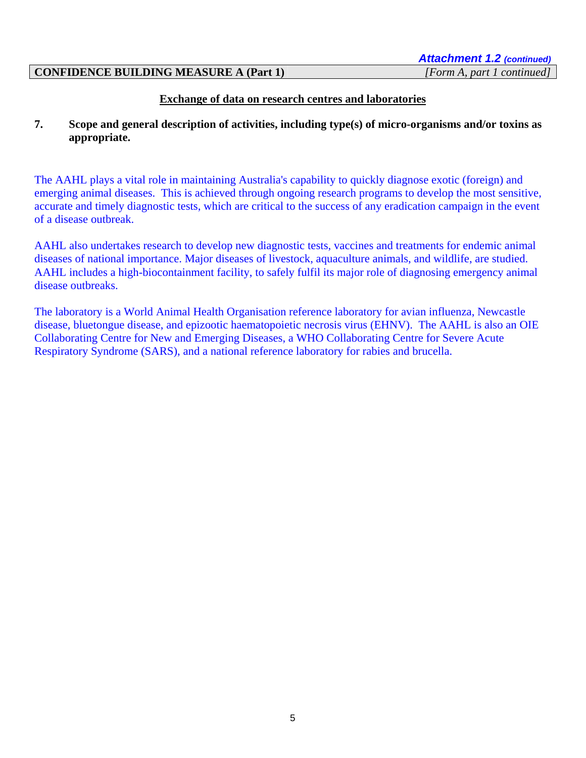*Attachment 1.2 (continued)* 

#### **CONFIDENCE BUILDING MEASURE A (Part 1)** *[Form A, part 1 continued]*

# **Exchange of data on research centres and laboratories**

# **7. Scope and general description of activities, including type(s) of micro-organisms and/or toxins as appropriate.**

The AAHL plays a vital role in maintaining Australia's capability to quickly diagnose exotic (foreign) and emerging animal diseases. This is achieved through ongoing research programs to develop the most sensitive, accurate and timely diagnostic tests, which are critical to the success of any eradication campaign in the event of a disease outbreak.

AAHL also undertakes research to develop new diagnostic tests, vaccines and treatments for endemic animal diseases of national importance. Major diseases of livestock, aquaculture animals, and wildlife, are studied. AAHL includes a high-biocontainment facility, to safely fulfil its major role of diagnosing emergency animal disease outbreaks.

The laboratory is a World Animal Health Organisation reference laboratory for avian influenza, Newcastle disease, bluetongue disease, and epizootic haematopoietic necrosis virus (EHNV). The AAHL is also an OIE Collaborating Centre for New and Emerging Diseases, a WHO Collaborating Centre for Severe Acute Respiratory Syndrome (SARS), and a national reference laboratory for rabies and brucella.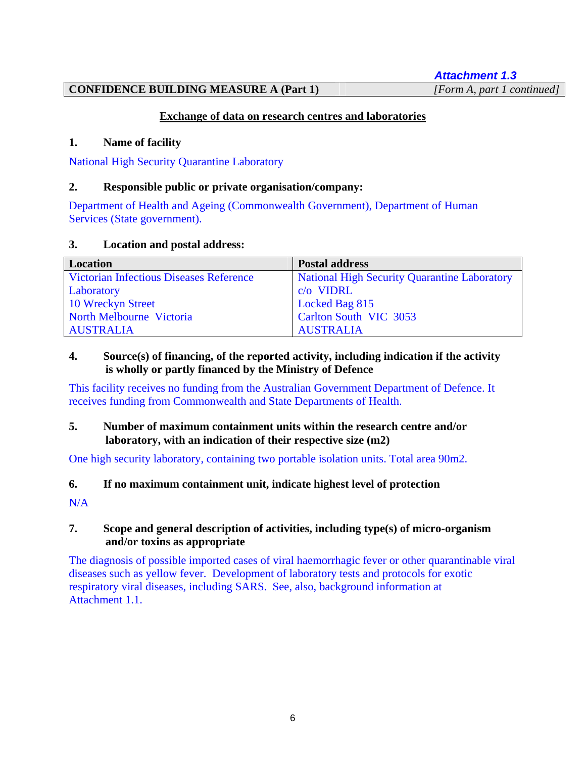*Attachment 1.3*

# **CONFIDENCE BUILDING MEASURE A (Part 1)** *[Form A, part 1 continued]*

# **Exchange of data on research centres and laboratories**

# **1. Name of facility**

National High Security Quarantine Laboratory

# **2. Responsible public or private organisation/company:**

Department of Health and Ageing (Commonwealth Government), Department of Human Services (State government).

#### **3. Location and postal address:**

| Location                                       | <b>Postal address</b>                        |
|------------------------------------------------|----------------------------------------------|
| <b>Victorian Infectious Diseases Reference</b> | National High Security Quarantine Laboratory |
| Laboratory                                     | $c/o$ VIDRL                                  |
| 10 Wreckyn Street                              | Locked Bag 815                               |
| North Melbourne Victoria                       | Carlton South VIC 3053                       |
| <b>AUSTRALIA</b>                               | <b>AUSTRALIA</b>                             |

# **4. Source(s) of financing, of the reported activity, including indication if the activity is wholly or partly financed by the Ministry of Defence**

This facility receives no funding from the Australian Government Department of Defence. It receives funding from Commonwealth and State Departments of Health.

# **5. Number of maximum containment units within the research centre and/or laboratory, with an indication of their respective size (m2)**

One high security laboratory, containing two portable isolation units. Total area 90m2.

# **6. If no maximum containment unit, indicate highest level of protection**

N/A

# **7. Scope and general description of activities, including type(s) of micro-organism and/or toxins as appropriate**

The diagnosis of possible imported cases of viral haemorrhagic fever or other quarantinable viral diseases such as yellow fever. Development of laboratory tests and protocols for exotic respiratory viral diseases, including SARS. See, also, background information at Attachment 1.1.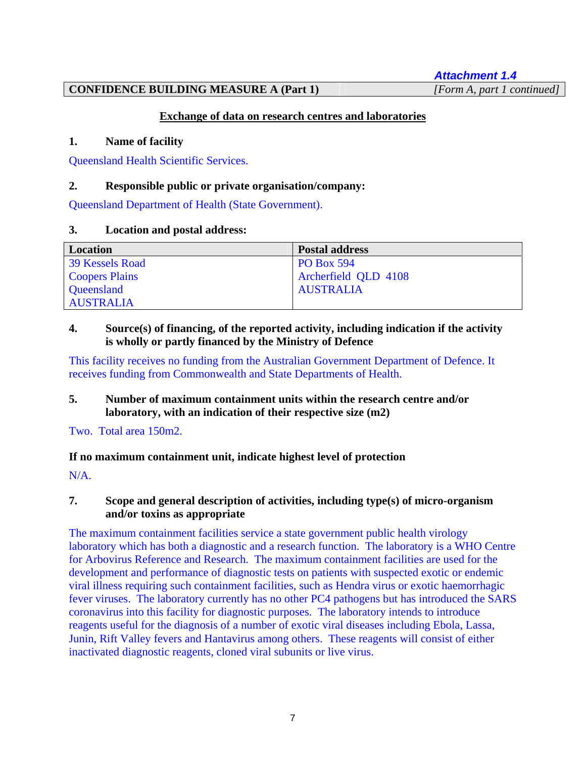*Attachment 1.4*

# **CONFIDENCE BUILDING MEASURE A (Part 1)** *[Form A, part 1 continued]*

# **Exchange of data on research centres and laboratories**

# **1. Name of facility**

Queensland Health Scientific Services.

# **2. Responsible public or private organisation/company:**

Queensland Department of Health (State Government).

# **3. Location and postal address:**

| Location              | <b>Postal address</b> |
|-----------------------|-----------------------|
| 39 Kessels Road       | <b>PO Box 594</b>     |
| <b>Coopers Plains</b> | Archerfield QLD 4108  |
| Queensland            | <b>AUSTRALIA</b>      |
| <b>AUSTRALIA</b>      |                       |

# **4. Source(s) of financing, of the reported activity, including indication if the activity is wholly or partly financed by the Ministry of Defence**

This facility receives no funding from the Australian Government Department of Defence. It receives funding from Commonwealth and State Departments of Health.

# **5. Number of maximum containment units within the research centre and/or laboratory, with an indication of their respective size (m2)**

Two. Total area 150m2.

# **If no maximum containment unit, indicate highest level of protection**

 $N/A$ .

# **7. Scope and general description of activities, including type(s) of micro-organism and/or toxins as appropriate**

The maximum containment facilities service a state government public health virology laboratory which has both a diagnostic and a research function. The laboratory is a WHO Centre for Arbovirus Reference and Research. The maximum containment facilities are used for the development and performance of diagnostic tests on patients with suspected exotic or endemic viral illness requiring such containment facilities, such as Hendra virus or exotic haemorrhagic fever viruses. The laboratory currently has no other PC4 pathogens but has introduced the SARS coronavirus into this facility for diagnostic purposes. The laboratory intends to introduce reagents useful for the diagnosis of a number of exotic viral diseases including Ebola, Lassa, Junin, Rift Valley fevers and Hantavirus among others. These reagents will consist of either inactivated diagnostic reagents, cloned viral subunits or live virus.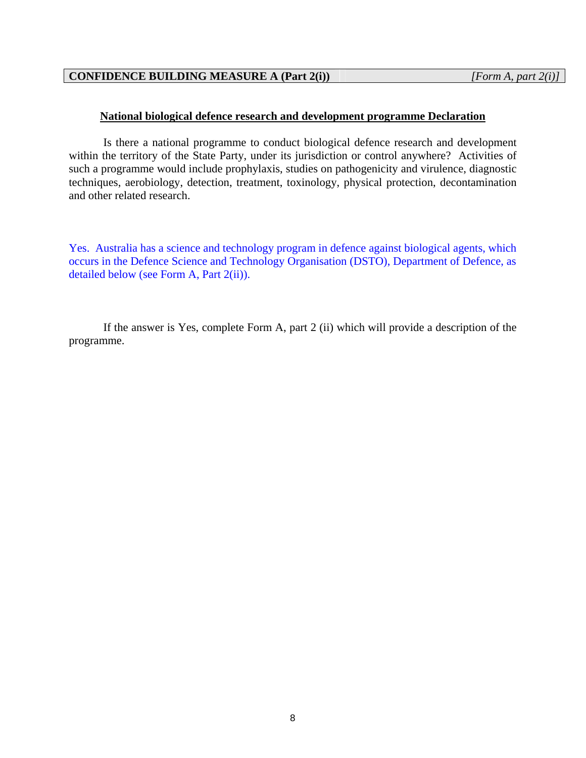# **National biological defence research and development programme Declaration**

Is there a national programme to conduct biological defence research and development within the territory of the State Party, under its jurisdiction or control anywhere? Activities of such a programme would include prophylaxis, studies on pathogenicity and virulence, diagnostic techniques, aerobiology, detection, treatment, toxinology, physical protection, decontamination and other related research.

Yes. Australia has a science and technology program in defence against biological agents, which occurs in the Defence Science and Technology Organisation (DSTO), Department of Defence, as detailed below (see Form A, Part 2(ii)).

If the answer is Yes, complete Form A, part 2 (ii) which will provide a description of the programme.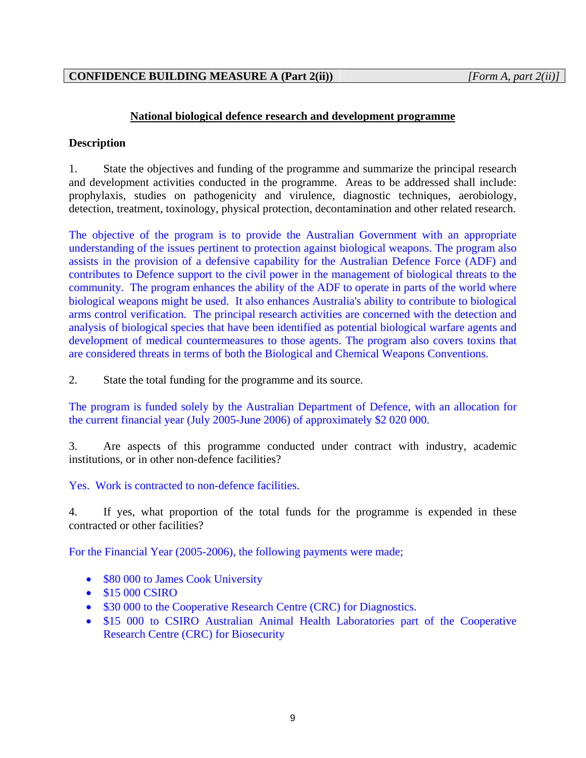# **National biological defence research and development programme**

# **Description**

1. State the objectives and funding of the programme and summarize the principal research and development activities conducted in the programme. Areas to be addressed shall include: prophylaxis, studies on pathogenicity and virulence, diagnostic techniques, aerobiology, detection, treatment, toxinology, physical protection, decontamination and other related research.

The objective of the program is to provide the Australian Government with an appropriate understanding of the issues pertinent to protection against biological weapons. The program also assists in the provision of a defensive capability for the Australian Defence Force (ADF) and contributes to Defence support to the civil power in the management of biological threats to the community. The program enhances the ability of the ADF to operate in parts of the world where biological weapons might be used. It also enhances Australia's ability to contribute to biological arms control verification. The principal research activities are concerned with the detection and analysis of biological species that have been identified as potential biological warfare agents and development of medical countermeasures to those agents. The program also covers toxins that are considered threats in terms of both the Biological and Chemical Weapons Conventions.

2. State the total funding for the programme and its source.

The program is funded solely by the Australian Department of Defence, with an allocation for the current financial year (July 2005-June 2006) of approximately \$2 020 000.

3. Are aspects of this programme conducted under contract with industry, academic institutions, or in other non-defence facilities?

Yes. Work is contracted to non-defence facilities.

4. If yes, what proportion of the total funds for the programme is expended in these contracted or other facilities?

For the Financial Year (2005-2006), the following payments were made;

- \$80 000 to James Cook University
- \$15 000 CSIRO
- \$30 000 to the Cooperative Research Centre (CRC) for Diagnostics.
- \$15 000 to CSIRO Australian Animal Health Laboratories part of the Cooperative Research Centre (CRC) for Biosecurity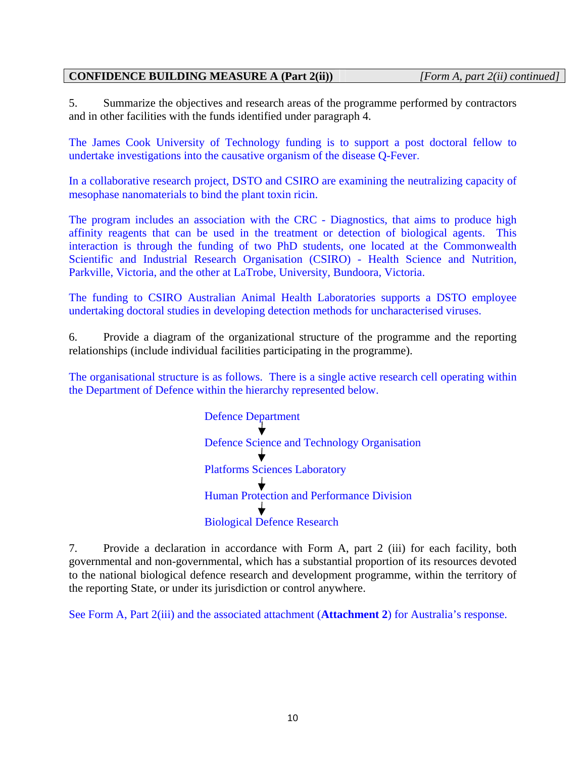# **CONFIDENCE BUILDING MEASURE A (Part 2(ii))** *[Form A, part 2(ii) continued]*

5. Summarize the objectives and research areas of the programme performed by contractors and in other facilities with the funds identified under paragraph 4.

The James Cook University of Technology funding is to support a post doctoral fellow to undertake investigations into the causative organism of the disease Q-Fever.

In a collaborative research project, DSTO and CSIRO are examining the neutralizing capacity of mesophase nanomaterials to bind the plant toxin ricin.

The program includes an association with the CRC - Diagnostics, that aims to produce high affinity reagents that can be used in the treatment or detection of biological agents. This interaction is through the funding of two PhD students, one located at the Commonwealth Scientific and Industrial Research Organisation (CSIRO) - Health Science and Nutrition, Parkville, Victoria, and the other at LaTrobe, University, Bundoora, Victoria.

The funding to CSIRO Australian Animal Health Laboratories supports a DSTO employee undertaking doctoral studies in developing detection methods for uncharacterised viruses.

6. Provide a diagram of the organizational structure of the programme and the reporting relationships (include individual facilities participating in the programme).

The organisational structure is as follows. There is a single active research cell operating within the Department of Defence within the hierarchy represented below.

> Defence Department Defence Science and Technology Organisation Platforms Sciences Laboratory Human Protection and Performance Division Biological Defence Research

7. Provide a declaration in accordance with Form A, part 2 (iii) for each facility, both governmental and non-governmental, which has a substantial proportion of its resources devoted to the national biological defence research and development programme, within the territory of the reporting State, or under its jurisdiction or control anywhere.

See Form A, Part 2(iii) and the associated attachment (**Attachment 2**) for Australia's response.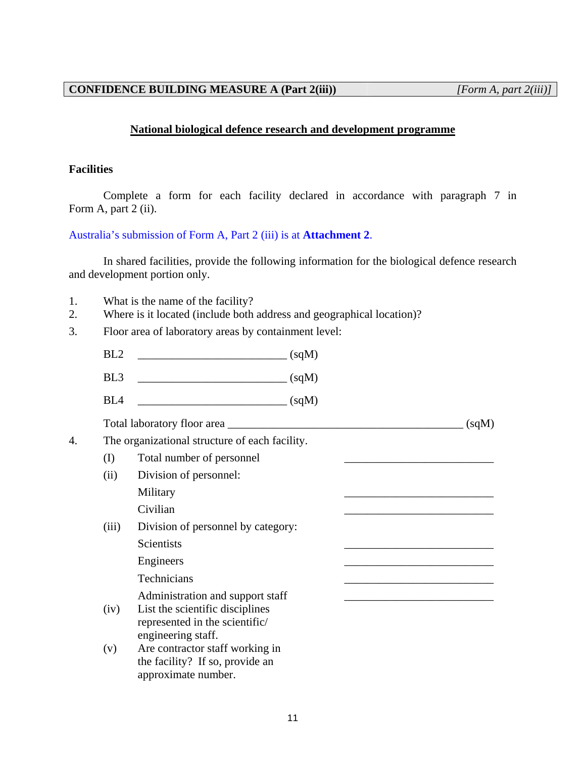# **National biological defence research and development programme**

#### **Facilities**

Complete a form for each facility declared in accordance with paragraph 7 in Form A, part 2 (ii).

Australia's submission of Form A, Part 2 (iii) is at **Attachment 2**.

In shared facilities, provide the following information for the biological defence research and development portion only.

- 1. What is the name of the facility?
- 2. Where is it located (include both address and geographical location)?
- 3. Floor area of laboratory areas by containment level:
	- $BL2$   $(sqM)$
	- BL3 \_\_\_\_\_\_\_\_\_\_\_\_\_\_\_\_\_\_\_\_\_\_\_\_\_\_ (sqM)
	- $BL4$   $\qquad \qquad (sqM)$

Total laboratory floor area \_\_\_\_\_\_\_\_\_\_\_\_\_\_\_\_\_\_\_\_\_\_\_\_\_\_\_\_\_\_\_\_\_\_\_\_\_\_\_\_\_ (sqM)

4. The organizational structure of each facility.

- (I) Total number of personnel
- (ii) Division of personnel: Military 2012 2022 2023 2024 2022 2022 2023 2024 2022 2023 2024 2025 2027 2028 2022 2023 2024 2025 2027 2028 20  $Civilian$
- (iii) Division of personnel by category: Scientists **and the set of the set of the set of the set of the set of the set of the set of the set of the set of the set of the set of the set of the set of the set of the set of the set of the set of the set of the set**

Engineers

Technicians \_\_\_\_\_\_\_\_\_\_\_\_\_\_\_\_\_\_\_\_\_\_\_\_\_\_

Administration and support staff

- (iv) List the scientific disciplines represented in the scientific/ engineering staff.
- (v) Are contractor staff working in the facility? If so, provide an approximate number.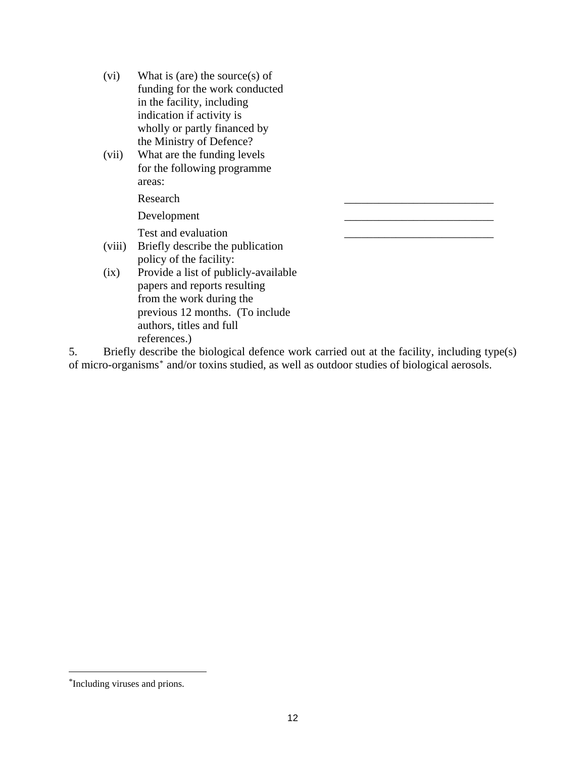- (vi) What is (are) the source(s) of funding for the work conducted in the facility, including indication if activity is wholly or partly financed by the Ministry of Defence?
- (vii) What are the funding levels for the following programme areas:

Research

Development

Test and evaluation

- (viii) Briefly describe the publication policy of the facility:
- (ix) Provide a list of publicly-available papers and reports resulting from the work during the previous 12 months. (To include authors, titles and full references.)

5. Briefly describe the biological defence work carried out at the facility, including type(s) of micro-organisms[\\*](#page-11-0) and/or toxins studied, as well as outdoor studies of biological aerosols.

 $\overline{a}$ 

<span id="page-11-0"></span><sup>\*</sup>Including viruses and prions.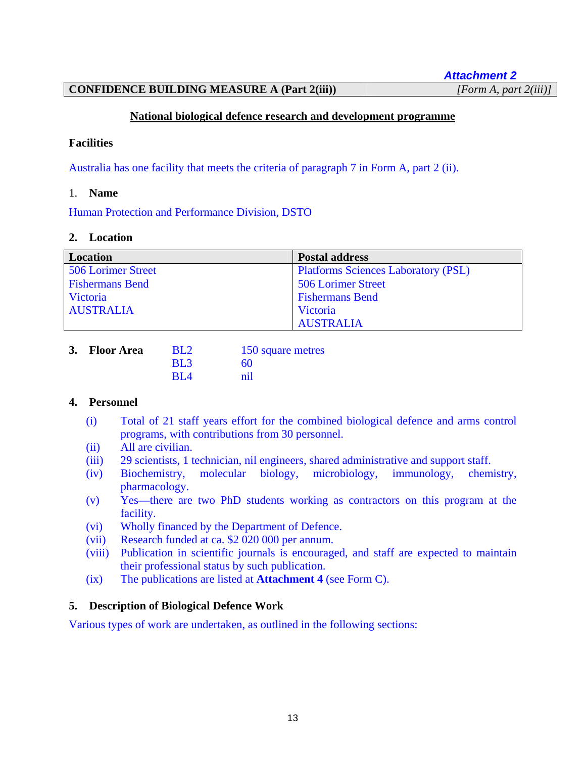*Attachment 2*

# **CONFIDENCE BUILDING MEASURE A (Part 2(iii))** *[Form A, part 2(iii)]*

# **National biological defence research and development programme**

#### **Facilities**

Australia has one facility that meets the criteria of paragraph 7 in Form A, part 2 (ii).

#### 1. **Name**

Human Protection and Performance Division, DSTO

#### **2. Location**

| <b>Location</b>        | <b>Postal address</b>                      |
|------------------------|--------------------------------------------|
| 506 Lorimer Street     | <b>Platforms Sciences Laboratory (PSL)</b> |
| <b>Fishermans Bend</b> | 506 Lorimer Street                         |
| Victoria               | <b>Fishermans Bend</b>                     |
| <b>AUSTRALIA</b>       | Victoria                                   |
|                        | <b>AUSTRALIA</b>                           |

| 3. Floor Area | <b>BL2</b>      | 150 square metres |
|---------------|-----------------|-------------------|
|               | BL <sub>3</sub> | 60                |
|               | RI <sub>4</sub> | nil               |

# **4. Personnel**

- (i) Total of 21 staff years effort for the combined biological defence and arms control programs, with contributions from 30 personnel.
- (ii) All are civilian.
- (iii) 29 scientists, 1 technician, nil engineers, shared administrative and support staff.
- (iv) Biochemistry, molecular biology, microbiology, immunology, chemistry, pharmacology.
- (v) Yes**—**there are two PhD students working as contractors on this program at the facility.
- (vi) Wholly financed by the Department of Defence.
- (vii) Research funded at ca. \$2 020 000 per annum.
- (viii) Publication in scientific journals is encouraged, and staff are expected to maintain their professional status by such publication.
- (ix) The publications are listed at **Attachment 4** (see Form C).

# **5. Description of Biological Defence Work**

Various types of work are undertaken, as outlined in the following sections: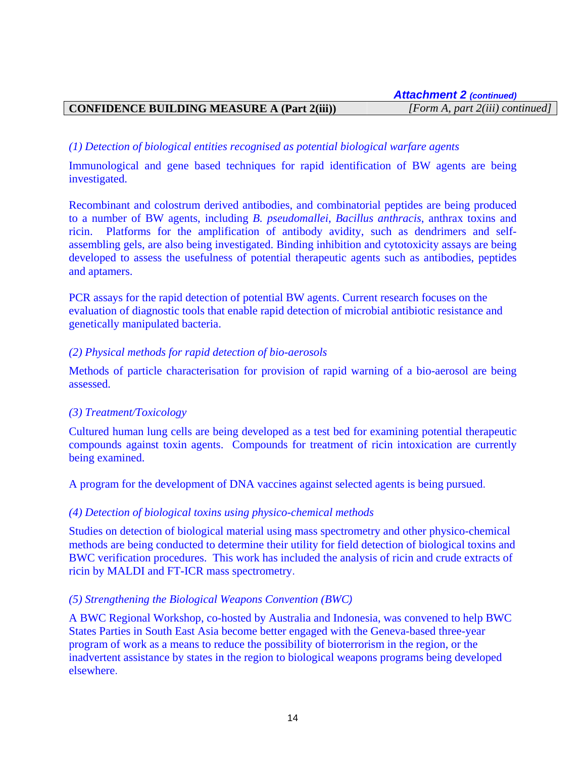# **CONFIDENCE BUILDING MEASURE A (Part 2(iii))** *[Form A, part 2(iii) continued]*

# *(1) Detection of biological entities recognised as potential biological warfare agents*

Immunological and gene based techniques for rapid identification of BW agents are being investigated.

Recombinant and colostrum derived antibodies, and combinatorial peptides are being produced to a number of BW agents, including *B. pseudomallei*, *Bacillus anthracis*, anthrax toxins and ricin. Platforms for the amplification of antibody avidity, such as dendrimers and selfassembling gels, are also being investigated. Binding inhibition and cytotoxicity assays are being developed to assess the usefulness of potential therapeutic agents such as antibodies, peptides and aptamers.

PCR assays for the rapid detection of potential BW agents. Current research focuses on the evaluation of diagnostic tools that enable rapid detection of microbial antibiotic resistance and genetically manipulated bacteria.

#### *(2) Physical methods for rapid detection of bio-aerosols*

Methods of particle characterisation for provision of rapid warning of a bio-aerosol are being assessed.

#### *(3) Treatment/Toxicology*

Cultured human lung cells are being developed as a test bed for examining potential therapeutic compounds against toxin agents. Compounds for treatment of ricin intoxication are currently being examined.

A program for the development of DNA vaccines against selected agents is being pursued.

#### *(4) Detection of biological toxins using physico-chemical methods*

Studies on detection of biological material using mass spectrometry and other physico-chemical methods are being conducted to determine their utility for field detection of biological toxins and BWC verification procedures. This work has included the analysis of ricin and crude extracts of ricin by MALDI and FT-ICR mass spectrometry.

#### *(5) Strengthening the Biological Weapons Convention (BWC)*

A BWC Regional Workshop, co-hosted by Australia and Indonesia, was convened to help BWC States Parties in South East Asia become better engaged with the Geneva-based three-year program of work as a means to reduce the possibility of bioterrorism in the region, or the inadvertent assistance by states in the region to biological weapons programs being developed elsewhere.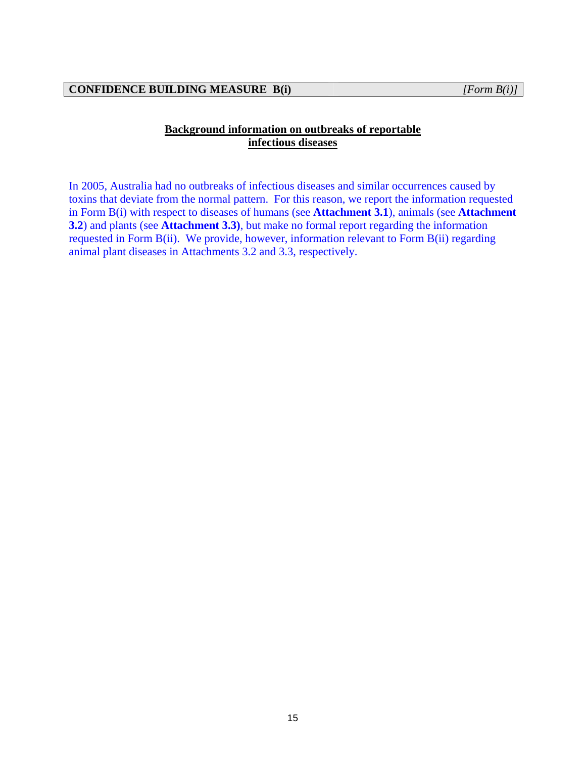# **Background information on outbreaks of reportable infectious diseases**

In 2005, Australia had no outbreaks of infectious diseases and similar occurrences caused by toxins that deviate from the normal pattern. For this reason, we report the information requested in Form B(i) with respect to diseases of humans (see **Attachment 3.1**), animals (see **Attachment 3.2**) and plants (see **Attachment 3.3)**, but make no formal report regarding the information requested in Form B(ii). We provide, however, information relevant to Form B(ii) regarding animal plant diseases in Attachments 3.2 and 3.3, respectively.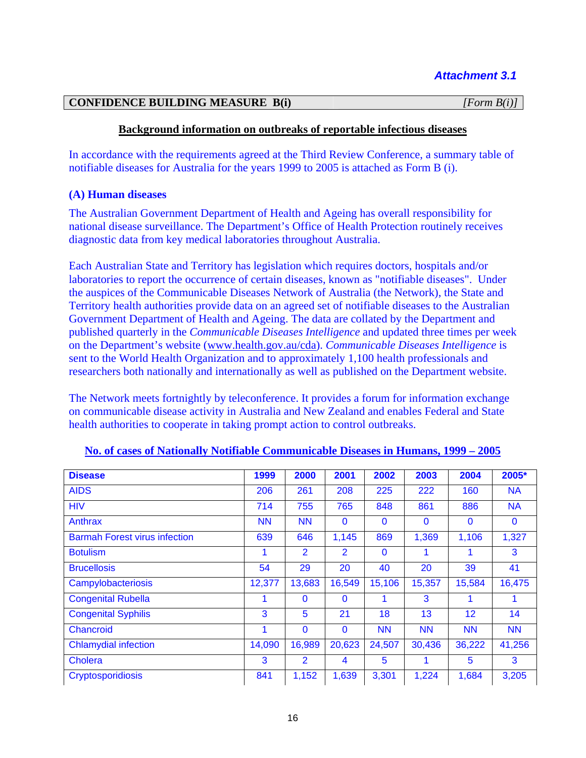#### **CONFIDENCE BUILDING MEASURE B(i)** *[Form B(i)]*

# **Background information on outbreaks of reportable infectious diseases**

In accordance with the requirements agreed at the Third Review Conference, a summary table of notifiable diseases for Australia for the years 1999 to 2005 is attached as Form B (i).

# **(A) Human diseases**

The Australian Government Department of Health and Ageing has overall responsibility for national disease surveillance. The Department's Office of Health Protection routinely receives diagnostic data from key medical laboratories throughout Australia.

Each Australian State and Territory has legislation which requires doctors, hospitals and/or laboratories to report the occurrence of certain diseases, known as "notifiable diseases". Under the auspices of the Communicable Diseases Network of Australia (the Network), the State and Territory health authorities provide data on an agreed set of notifiable diseases to the Australian Government Department of Health and Ageing. The data are collated by the Department and published quarterly in the *Communicable Diseases Intelligence* and updated three times per week on the Department's website ([www.health.gov.au/cda](http://www.health.gov.au/cda)). *Communicable Diseases Intelligence* is sent to the World Health Organization and to approximately 1,100 health professionals and researchers both nationally and internationally as well as published on the Department website.

The Network meets fortnightly by teleconference. It provides a forum for information exchange on communicable disease activity in Australia and New Zealand and enables Federal and State health authorities to cooperate in taking prompt action to control outbreaks.

| <b>Disease</b>                       | 1999      | 2000         | 2001           | 2002         | 2003         | 2004         | 2005*        |
|--------------------------------------|-----------|--------------|----------------|--------------|--------------|--------------|--------------|
| <b>AIDS</b>                          | 206       | 261          | 208            | 225          | 222          | 160          | <b>NA</b>    |
| <b>HIV</b>                           | 714       | 755          | 765            | 848          | 861          | 886          | <b>NA</b>    |
| Anthrax                              | <b>NN</b> | <b>NN</b>    | $\mathbf{0}$   | $\mathbf{0}$ | $\mathbf{0}$ | $\mathbf{0}$ | $\mathbf{0}$ |
| <b>Barmah Forest virus infection</b> | 639       | 646          | 1,145          | 869          | 1,369        | 1,106        | 1,327        |
| <b>Botulism</b>                      |           | 2            | $\overline{2}$ | $\mathbf{0}$ |              |              | 3            |
| <b>Brucellosis</b>                   | 54        | 29           | 20             | 40           | 20           | 39           | 41           |
| Campylobacteriosis                   | 12,377    | 13,683       | 16,549         | 15,106       | 15,357       | 15,584       | 16,475       |
| <b>Congenital Rubella</b>            |           | $\mathbf{0}$ | $\mathbf{0}$   |              | 3            |              |              |
| <b>Congenital Syphilis</b>           | 3         | 5            | 21             | 18           | 13           | 12           | 14           |
| Chancroid                            | 1         | $\mathbf{0}$ | $\mathbf{0}$   | <b>NN</b>    | <b>NN</b>    | <b>NN</b>    | <b>NN</b>    |
| <b>Chlamydial infection</b>          | 14,090    | 16,989       | 20,623         | 24,507       | 30,436       | 36,222       | 41,256       |
| Cholera                              | 3         | 2            | 4              | 5            |              | 5            | 3            |
| Cryptosporidiosis                    | 841       | 1,152        | 1,639          | 3,301        | 1,224        | 1,684        | 3,205        |

#### **No. of cases of Nationally Notifiable Communicable Diseases in Humans, 1999 – 2005**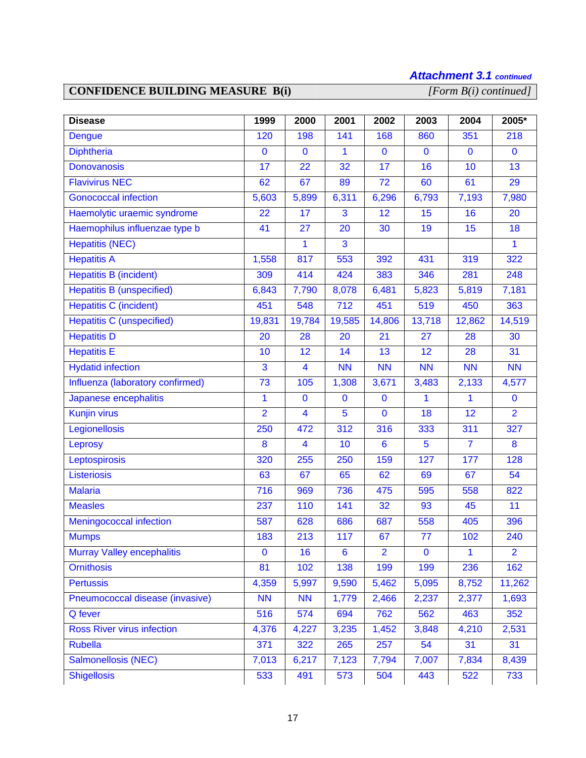# *Attachment 3.1 continued*

# **CONFIDENCE BUILDING MEASURE B(i)**

| <b>Disease</b>                    | 1999           | 2000                    | 2001            | 2002            | 2003           | 2004           | 2005*          |
|-----------------------------------|----------------|-------------------------|-----------------|-----------------|----------------|----------------|----------------|
| <b>Dengue</b>                     | 120            | 198                     | 141             | 168             | 860            | 351            | 218            |
| <b>Diphtheria</b>                 | $\mathbf 0$    | $\mathbf 0$             | 1               | $\mathbf{0}$    | $\mathbf 0$    | $\mathbf 0$    | $\mathbf 0$    |
| <b>Donovanosis</b>                | 17             | 22                      | 32              | 17              | 16             | 10             | 13             |
| <b>Flavivirus NEC</b>             | 62             | 67                      | 89              | $\overline{72}$ | 60             | 61             | 29             |
| <b>Gonococcal infection</b>       | 5,603          | 5,899                   | 6,311           | 6,296           | 6,793          | 7,193          | 7,980          |
| Haemolytic uraemic syndrome       | 22             | 17                      | 3               | 12              | 15             | 16             | 20             |
| Haemophilus influenzae type b     | 41             | 27                      | 20              | 30              | 19             | 15             | 18             |
| <b>Hepatitis (NEC)</b>            |                | 1                       | 3               |                 |                |                | $\mathbf{1}$   |
| <b>Hepatitis A</b>                | 1,558          | 817                     | 553             | 392             | 431            | 319            | 322            |
| <b>Hepatitis B (incident)</b>     | 309            | 414                     | 424             | 383             | 346            | 281            | 248            |
| <b>Hepatitis B (unspecified)</b>  | 6,843          | 7,790                   | 8,078           | 6,481           | 5,823          | 5,819          | 7,181          |
| <b>Hepatitis C (incident)</b>     | 451            | 548                     | 712             | 451             | 519            | 450            | 363            |
| <b>Hepatitis C (unspecified)</b>  | 19,831         | 19,784                  | 19,585          | 14,806          | 13,718         | 12,862         | 14,519         |
| <b>Hepatitis D</b>                | 20             | 28                      | 20              | 21              | 27             | 28             | 30             |
| <b>Hepatitis E</b>                | 10             | 12                      | 14              | 13              | 12             | 28             | 31             |
| <b>Hydatid infection</b>          | 3              | 4                       | <b>NN</b>       | <b>NN</b>       | <b>NN</b>      | <b>NN</b>      | <b>NN</b>      |
| Influenza (laboratory confirmed)  | 73             | 105                     | 1,308           | 3,671           | 3,483          | 2,133          | 4,577          |
| Japanese encephalitis             | 1              | $\mathbf 0$             | $\mathbf 0$     | $\bf{0}$        | 1              | 1              | $\bf{0}$       |
| <b>Kunjin virus</b>               | $\overline{2}$ | $\overline{\mathbf{4}}$ | 5               | $\mathbf 0$     | 18             | 12             | $\overline{2}$ |
| Legionellosis                     | 250            | 472                     | 312             | 316             | 333            | 311            | 327            |
| Leprosy                           | 8              | $\overline{4}$          | 10              | $6\phantom{1}$  | $5\phantom{1}$ | $\overline{7}$ | 8              |
| Leptospirosis                     | 320            | 255                     | 250             | 159             | 127            | 177            | 128            |
| Listeriosis                       | 63             | 67                      | 65              | 62              | 69             | 67             | 54             |
| <b>Malaria</b>                    | 716            | 969                     | 736             | 475             | 595            | 558            | 822            |
| <b>Measles</b>                    | 237            | 110                     | 141             | 32              | 93             | 45             | 11             |
| Meningococcal infection           | 587            | 628                     | 686             | 687             | 558            | 405            | 396            |
| <b>Mumps</b>                      | 183            | 213                     | 117             | 67              | 77             | 102            | 240            |
| <b>Murray Valley encephalitis</b> | $\bf{0}$       | 16                      | $6\phantom{1}6$ | $\overline{2}$  | $\bf{0}$       | 1              | $\overline{2}$ |
| <b>Ornithosis</b>                 | 81             | 102                     | 138             | 199             | 199            | 236            | 162            |
| <b>Pertussis</b>                  | 4,359          | 5,997                   | 9,590           | 5,462           | 5,095          | 8,752          | 11,262         |
| Pneumococcal disease (invasive)   | <b>NN</b>      | <b>NN</b>               | 1,779           | 2,466           | 2,237          | 2,377          | 1,693          |
| Q fever                           | 516            | 574                     | 694             | 762             | 562            | 463            | 352            |
| <b>Ross River virus infection</b> | 4,376          | 4,227                   | 3,235           | 1,452           | 3,848          | 4,210          | 2,531          |
| <b>Rubella</b>                    | 371            | 322                     | 265             | 257             | 54             | 31             | 31             |
| Salmonellosis (NEC)               | 7,013          | 6,217                   | 7,123           | 7,794           | 7,007          | 7,834          | 8,439          |
| <b>Shigellosis</b>                | 533            | 491                     | 573             | 504             | 443            | 522            | 733            |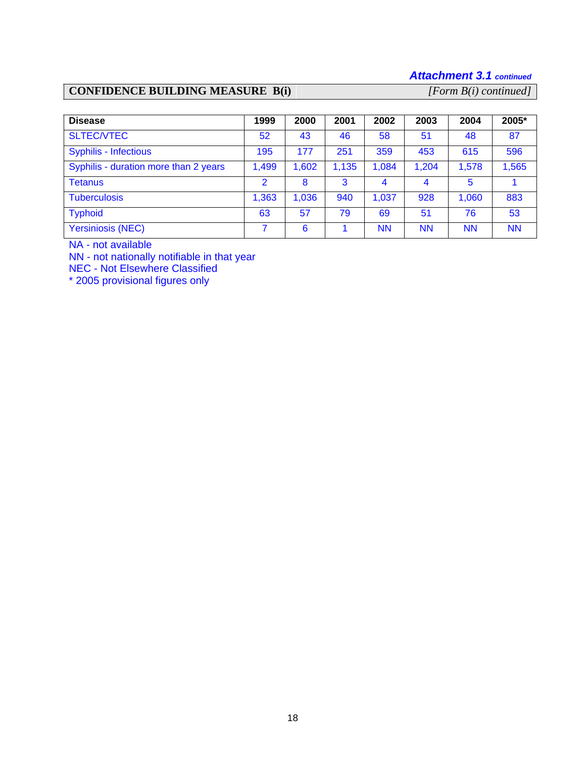# *Attachment 3.1 continued*

# **CONFIDENCE BUILDING MEASURE B(i)** *[Form B(i) continued]*

| <b>Disease</b>                        | 1999           | 2000  | 2001  | 2002  | 2003  | 2004      | 2005*     |
|---------------------------------------|----------------|-------|-------|-------|-------|-----------|-----------|
| <b>SLTEC/VTEC</b>                     | 52             | 43    | 46    | 58    | 51    | 48        | 87        |
| <b>Syphilis - Infectious</b>          | 195            | 177   | 251   | 359   | 453   | 615       | 596       |
| Syphilis - duration more than 2 years | 1,499          | 1,602 | 1,135 | 1,084 | 1,204 | 1,578     | 1,565     |
| Tetanus                               | $\overline{2}$ | 8     | 3     | 4     |       | 5         |           |
| <b>Tuberculosis</b>                   | 1,363          | 1,036 | 940   | 1,037 | 928   | 1,060     | 883       |
| <b>Typhoid</b>                        | 63             | 57    | 79    | 69    | 51    | 76        | 53        |
| <b>Yersiniosis (NEC)</b>              |                | 6     |       | ΝN    | ΝN    | <b>NN</b> | <b>NN</b> |

NA - not available

NN - not nationally notifiable in that year

NEC - Not Elsewhere Classified

\* 2005 provisional figures only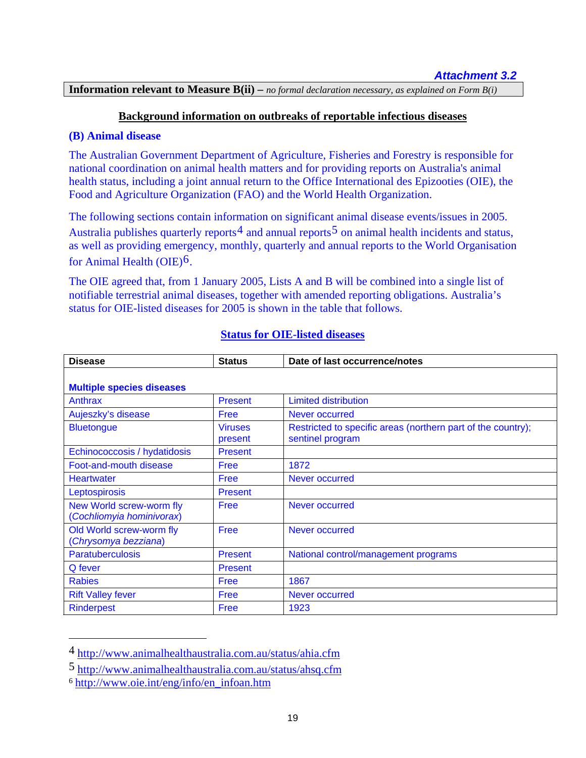**Information relevant to Measure B(ii) –** *no formal declaration necessary, as explained on Form B(i)*

#### **Background information on outbreaks of reportable infectious diseases**

#### **(B) Animal disease**

The Australian Government Department of Agriculture, Fisheries and Forestry is responsible for national coordination on animal health matters and for providing reports on Australia's animal health status, including a joint annual return to the Office International des Epizooties (OIE), the Food and Agriculture Organization (FAO) and the World Health Organization.

The following sections contain information on significant animal disease events/issues in 2005. Australia publishes quarterly reports<sup>[4](#page-18-0)</sup> and annual reports<sup>[5](#page-18-1)</sup> on animal health incidents and status, as well as providing emergency, monthly, quarterly and annual reports to the World Organisation for Animal Health (OIE)[6](#page-18-2).

The OIE agreed that, from 1 January 2005, Lists A and B will be combined into a single list of notifiable terrestrial animal diseases, together with amended reporting obligations. Australia's status for OIE-listed diseases for 2005 is shown in the table that follows.

| <b>Disease</b>                                        | <b>Status</b>             | Date of last occurrence/notes                                                    |
|-------------------------------------------------------|---------------------------|----------------------------------------------------------------------------------|
|                                                       |                           |                                                                                  |
| <b>Multiple species diseases</b>                      |                           |                                                                                  |
| Anthrax                                               | <b>Present</b>            | <b>Limited distribution</b>                                                      |
| Aujeszky's disease                                    | Free                      | Never occurred                                                                   |
| <b>Bluetongue</b>                                     | <b>Viruses</b><br>present | Restricted to specific areas (northern part of the country);<br>sentinel program |
| Echinococcosis / hydatidosis                          | <b>Present</b>            |                                                                                  |
| Foot-and-mouth disease                                | Free                      | 1872                                                                             |
| <b>Heartwater</b>                                     | Free                      | Never occurred                                                                   |
| Leptospirosis                                         | <b>Present</b>            |                                                                                  |
| New World screw-worm fly<br>(Cochliomyia hominivorax) | Free                      | Never occurred                                                                   |
| Old World screw-worm fly<br>(Chrysomya bezziana)      | Free                      | Never occurred                                                                   |
| <b>Paratuberculosis</b>                               | <b>Present</b>            | National control/management programs                                             |
| Q fever                                               | <b>Present</b>            |                                                                                  |
| <b>Rabies</b>                                         | Free                      | 1867                                                                             |
| <b>Rift Valley fever</b>                              | Free                      | Never occurred                                                                   |
| <b>Rinderpest</b>                                     | Free                      | 1923                                                                             |

#### **Status for OIE-listed diseases**

 $\overline{a}$ 

<span id="page-18-0"></span><sup>4</sup> <http://www.animalhealthaustralia.com.au/status/ahia.cfm>

<span id="page-18-1"></span><sup>5</sup> <http://www.animalhealthaustralia.com.au/status/ahsq.cfm>

<span id="page-18-2"></span><sup>6</sup> [http://www.oie.int/eng/info/en\\_infoan.htm](http://www.oie.int/eng/info/en_infoan.htm)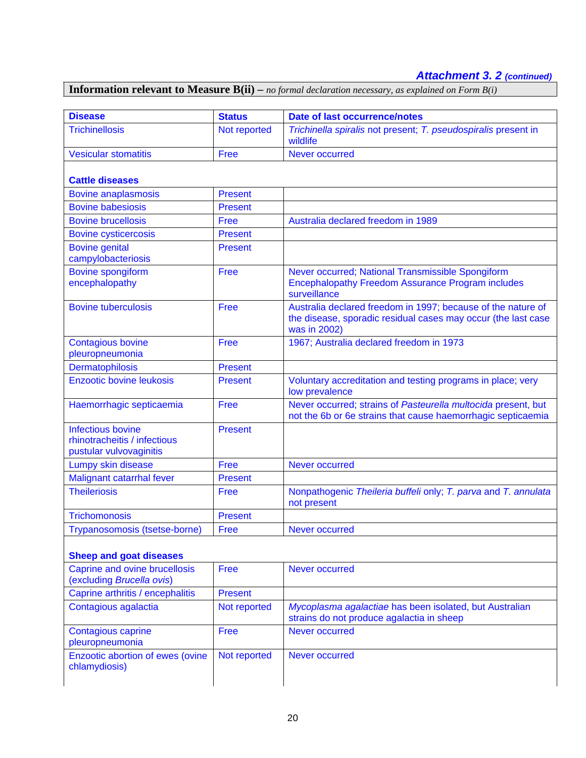# *Attachment 3. 2 (continued)*

**Information relevant to Measure B(ii) –** *no formal declaration necessary, as explained on Form B(i)*

| <b>Disease</b>                                                                      | <b>Status</b>  | <b>Date of last occurrence/notes</b>                                                                                                          |
|-------------------------------------------------------------------------------------|----------------|-----------------------------------------------------------------------------------------------------------------------------------------------|
| <b>Trichinellosis</b>                                                               | Not reported   | Trichinella spiralis not present; T. pseudospiralis present in<br>wildlife                                                                    |
| <b>Vesicular stomatitis</b>                                                         | Free           | <b>Never occurred</b>                                                                                                                         |
| <b>Cattle diseases</b>                                                              |                |                                                                                                                                               |
| <b>Bovine anaplasmosis</b>                                                          | <b>Present</b> |                                                                                                                                               |
| <b>Bovine babesiosis</b>                                                            | <b>Present</b> |                                                                                                                                               |
| <b>Bovine brucellosis</b>                                                           | Free           | Australia declared freedom in 1989                                                                                                            |
| <b>Bovine cysticercosis</b>                                                         | <b>Present</b> |                                                                                                                                               |
| <b>Bovine genital</b><br>campylobacteriosis                                         | <b>Present</b> |                                                                                                                                               |
| <b>Bovine spongiform</b><br>encephalopathy                                          | Free           | Never occurred; National Transmissible Spongiform<br><b>Encephalopathy Freedom Assurance Program includes</b><br>surveillance                 |
| <b>Bovine tuberculosis</b>                                                          | Free           | Australia declared freedom in 1997; because of the nature of<br>the disease, sporadic residual cases may occur (the last case<br>was in 2002) |
| <b>Contagious bovine</b><br>pleuropneumonia                                         | Free           | 1967; Australia declared freedom in 1973                                                                                                      |
| Dermatophilosis                                                                     | <b>Present</b> |                                                                                                                                               |
| <b>Enzootic bovine leukosis</b>                                                     | <b>Present</b> | Voluntary accreditation and testing programs in place; very<br>low prevalence                                                                 |
| Haemorrhagic septicaemia                                                            | Free           | Never occurred; strains of Pasteurella multocida present, but<br>not the 6b or 6e strains that cause haemorrhagic septicaemia                 |
| <b>Infectious bovine</b><br>rhinotracheitis / infectious<br>pustular vulvovaginitis | <b>Present</b> |                                                                                                                                               |
| Lumpy skin disease                                                                  | Free           | Never occurred                                                                                                                                |
| Malignant catarrhal fever                                                           | <b>Present</b> |                                                                                                                                               |
| <b>Theileriosis</b>                                                                 | Free           | Nonpathogenic Theileria buffeli only; T. parva and T. annulata<br>not present                                                                 |
| <b>Trichomonosis</b>                                                                | <b>Present</b> |                                                                                                                                               |
| Trypanosomosis (tsetse-borne)                                                       | Free           | Never occurred                                                                                                                                |
| <b>Sheep and goat diseases</b>                                                      |                |                                                                                                                                               |
| <b>Caprine and ovine brucellosis</b><br>(excluding Brucella ovis)                   | Free           | Never occurred                                                                                                                                |
| Caprine arthritis / encephalitis                                                    | <b>Present</b> |                                                                                                                                               |
| Contagious agalactia                                                                | Not reported   | Mycoplasma agalactiae has been isolated, but Australian<br>strains do not produce agalactia in sheep                                          |
| <b>Contagious caprine</b><br>pleuropneumonia                                        | Free           | Never occurred                                                                                                                                |
| Enzootic abortion of ewes (ovine<br>chlamydiosis)                                   | Not reported   | <b>Never occurred</b>                                                                                                                         |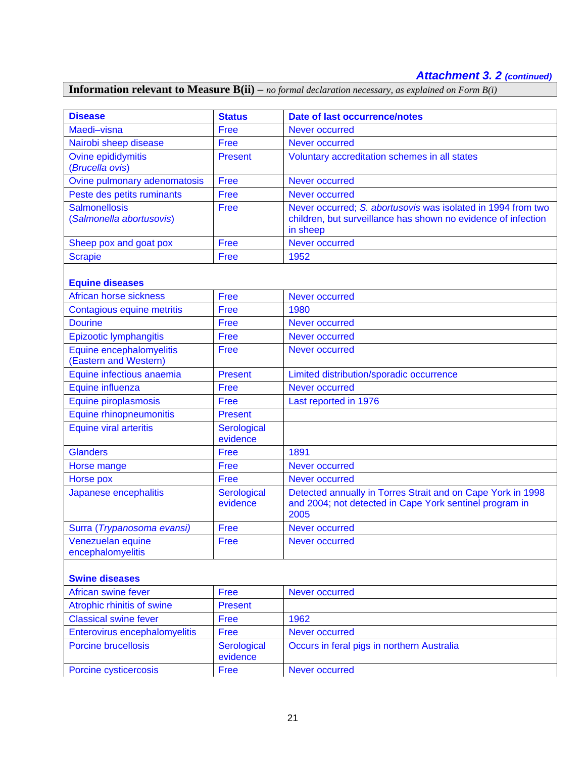# *Attachment 3. 2 (continued)*

# **Information relevant to Measure B(ii) –** *no formal declaration necessary, as explained on Form B(i)*

| <b>Disease</b>                                    | <b>Status</b>           | <b>Date of last occurrence/notes</b>                                                                                           |  |
|---------------------------------------------------|-------------------------|--------------------------------------------------------------------------------------------------------------------------------|--|
| Maedi-visna                                       | Free                    | <b>Never occurred</b>                                                                                                          |  |
| Nairobi sheep disease                             | Free                    | Never occurred                                                                                                                 |  |
| Ovine epididymitis                                | <b>Present</b>          | Voluntary accreditation schemes in all states                                                                                  |  |
| (Brucella ovis)                                   |                         |                                                                                                                                |  |
| Ovine pulmonary adenomatosis                      | Free                    | Never occurred                                                                                                                 |  |
| Peste des petits ruminants                        | <b>Free</b>             | <b>Never occurred</b>                                                                                                          |  |
| <b>Salmonellosis</b><br>(Salmonella abortusovis)  | Free                    | Never occurred; S. abortusovis was isolated in 1994 from two<br>children, but surveillance has shown no evidence of infection  |  |
| Sheep pox and goat pox                            | Free                    | in sheep<br>Never occurred                                                                                                     |  |
| <b>Scrapie</b>                                    | Free                    | 1952                                                                                                                           |  |
|                                                   |                         |                                                                                                                                |  |
| <b>Equine diseases</b>                            |                         |                                                                                                                                |  |
| African horse sickness                            | <b>Free</b>             | Never occurred                                                                                                                 |  |
| Contagious equine metritis                        | Free                    | 1980                                                                                                                           |  |
| <b>Dourine</b>                                    | Free                    | <b>Never occurred</b>                                                                                                          |  |
| <b>Epizootic lymphangitis</b>                     | Free                    | Never occurred                                                                                                                 |  |
| Equine encephalomyelitis<br>(Eastern and Western) | Free                    | Never occurred                                                                                                                 |  |
| Equine infectious anaemia                         | <b>Present</b>          | Limited distribution/sporadic occurrence                                                                                       |  |
| Equine influenza                                  | Free                    | Never occurred                                                                                                                 |  |
| Equine piroplasmosis                              | Free                    | Last reported in 1976                                                                                                          |  |
| <b>Equine rhinopneumonitis</b>                    | <b>Present</b>          |                                                                                                                                |  |
| <b>Equine viral arteritis</b>                     | Serological<br>evidence |                                                                                                                                |  |
| <b>Glanders</b>                                   | <b>Free</b>             | 1891                                                                                                                           |  |
| Horse mange                                       | Free                    | Never occurred                                                                                                                 |  |
| Horse pox                                         | Free                    | <b>Never occurred</b>                                                                                                          |  |
| Japanese encephalitis                             | Serological<br>evidence | Detected annually in Torres Strait and on Cape York in 1998<br>and 2004; not detected in Cape York sentinel program in<br>2005 |  |
| Surra (Trypanosoma evansi)                        | Free                    | Never occurred                                                                                                                 |  |
| Venezuelan equine<br>encephalomyelitis            | Free                    | <b>Never occurred</b>                                                                                                          |  |
| <b>Swine diseases</b>                             |                         |                                                                                                                                |  |
| <b>African swine fever</b>                        | Free                    | <b>Never occurred</b>                                                                                                          |  |
| Atrophic rhinitis of swine                        | <b>Present</b>          |                                                                                                                                |  |
| <b>Classical swine fever</b>                      | Free                    | 1962                                                                                                                           |  |
| Enterovirus encephalomyelitis                     | Free                    | <b>Never occurred</b>                                                                                                          |  |
| <b>Porcine brucellosis</b>                        | Serological<br>evidence | Occurs in feral pigs in northern Australia                                                                                     |  |
| Porcine cysticercosis                             | Free                    | Never occurred                                                                                                                 |  |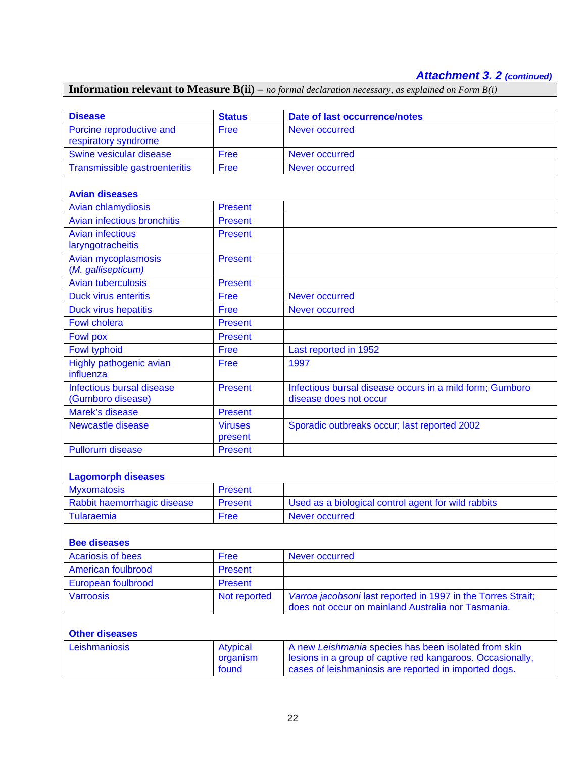# *Attachment 3. 2 (continued)*

# **Information relevant to Measure B(ii) –** *no formal declaration necessary, as explained on Form B(i)*

| <b>Disease</b>                                 | <b>Status</b>                        | <b>Date of last occurrence/notes</b>                                                                                                                                        |
|------------------------------------------------|--------------------------------------|-----------------------------------------------------------------------------------------------------------------------------------------------------------------------------|
| Porcine reproductive and                       | Free                                 | Never occurred                                                                                                                                                              |
| respiratory syndrome                           |                                      |                                                                                                                                                                             |
| Swine vesicular disease                        | Free                                 | <b>Never occurred</b>                                                                                                                                                       |
| Transmissible gastroenteritis                  | Free                                 | Never occurred                                                                                                                                                              |
|                                                |                                      |                                                                                                                                                                             |
| <b>Avian diseases</b>                          |                                      |                                                                                                                                                                             |
| <b>Avian chlamydiosis</b>                      | <b>Present</b>                       |                                                                                                                                                                             |
| <b>Avian infectious bronchitis</b>             | <b>Present</b>                       |                                                                                                                                                                             |
| <b>Avian infectious</b><br>laryngotracheitis   | <b>Present</b>                       |                                                                                                                                                                             |
| Avian mycoplasmosis<br>(M. gallisepticum)      | <b>Present</b>                       |                                                                                                                                                                             |
| <b>Avian tuberculosis</b>                      | <b>Present</b>                       |                                                                                                                                                                             |
| <b>Duck virus enteritis</b>                    | Free                                 | Never occurred                                                                                                                                                              |
| <b>Duck virus hepatitis</b>                    | Free                                 | <b>Never occurred</b>                                                                                                                                                       |
| <b>Fowl cholera</b>                            | <b>Present</b>                       |                                                                                                                                                                             |
| <b>Fowl pox</b>                                | <b>Present</b>                       |                                                                                                                                                                             |
| <b>Fowl typhoid</b>                            | Free                                 | Last reported in 1952                                                                                                                                                       |
| Highly pathogenic avian<br>influenza           | Free                                 | 1997                                                                                                                                                                        |
| Infectious bursal disease<br>(Gumboro disease) | <b>Present</b>                       | Infectious bursal disease occurs in a mild form; Gumboro<br>disease does not occur                                                                                          |
| Marek's disease                                | <b>Present</b>                       |                                                                                                                                                                             |
| <b>Newcastle disease</b>                       | <b>Viruses</b><br>present            | Sporadic outbreaks occur; last reported 2002                                                                                                                                |
| <b>Pullorum disease</b>                        | <b>Present</b>                       |                                                                                                                                                                             |
|                                                |                                      |                                                                                                                                                                             |
| <b>Lagomorph diseases</b>                      |                                      |                                                                                                                                                                             |
| <b>Myxomatosis</b>                             | <b>Present</b>                       |                                                                                                                                                                             |
| Rabbit haemorrhagic disease                    | <b>Present</b>                       | Used as a biological control agent for wild rabbits                                                                                                                         |
| <b>Tularaemia</b>                              | Free                                 | <b>Never occurred</b>                                                                                                                                                       |
| <b>Bee diseases</b>                            |                                      |                                                                                                                                                                             |
| <b>Acariosis of bees</b>                       | Free                                 | <b>Never occurred</b>                                                                                                                                                       |
| <b>American foulbrood</b>                      | <b>Present</b>                       |                                                                                                                                                                             |
| European foulbrood                             | <b>Present</b>                       |                                                                                                                                                                             |
| <b>Varroosis</b>                               | Not reported                         | Varroa jacobsoni last reported in 1997 in the Torres Strait;                                                                                                                |
|                                                |                                      | does not occur on mainland Australia nor Tasmania.                                                                                                                          |
|                                                |                                      |                                                                                                                                                                             |
| <b>Other diseases</b>                          |                                      |                                                                                                                                                                             |
| Leishmaniosis                                  | <b>Atypical</b><br>organism<br>found | A new Leishmania species has been isolated from skin<br>lesions in a group of captive red kangaroos. Occasionally,<br>cases of leishmaniosis are reported in imported dogs. |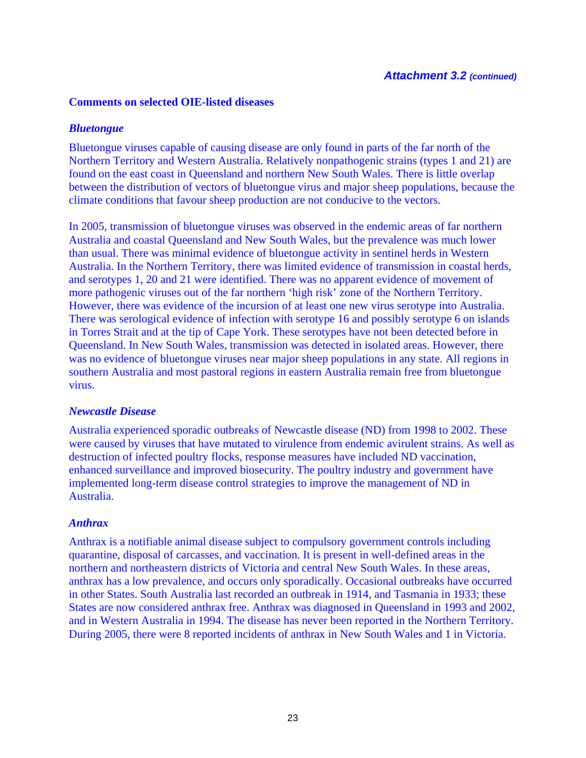#### **Comments on selected OIE-listed diseases**

#### *Bluetongue*

Bluetongue viruses capable of causing disease are only found in parts of the far north of the Northern Territory and Western Australia. Relatively nonpathogenic strains (types 1 and 21) are found on the east coast in Queensland and northern New South Wales. There is little overlap between the distribution of vectors of bluetongue virus and major sheep populations, because the climate conditions that favour sheep production are not conducive to the vectors.

In 2005, transmission of bluetongue viruses was observed in the endemic areas of far northern Australia and coastal Queensland and New South Wales, but the prevalence was much lower than usual. There was minimal evidence of bluetongue activity in sentinel herds in Western Australia. In the Northern Territory, there was limited evidence of transmission in coastal herds, and serotypes 1, 20 and 21 were identified. There was no apparent evidence of movement of more pathogenic viruses out of the far northern 'high risk' zone of the Northern Territory. However, there was evidence of the incursion of at least one new virus serotype into Australia. There was serological evidence of infection with serotype 16 and possibly serotype 6 on islands in Torres Strait and at the tip of Cape York. These serotypes have not been detected before in Queensland. In New South Wales, transmission was detected in isolated areas. However, there was no evidence of bluetongue viruses near major sheep populations in any state. All regions in southern Australia and most pastoral regions in eastern Australia remain free from bluetongue virus.

#### *Newcastle Disease*

Australia experienced sporadic outbreaks of Newcastle disease (ND) from 1998 to 2002. These were caused by viruses that have mutated to virulence from endemic avirulent strains. As well as destruction of infected poultry flocks, response measures have included ND vaccination, enhanced surveillance and improved biosecurity. The poultry industry and government have implemented long-term disease control strategies to improve the management of ND in Australia.

#### *Anthrax*

Anthrax is a notifiable animal disease subject to compulsory government controls including quarantine, disposal of carcasses, and vaccination. It is present in well-defined areas in the northern and northeastern districts of Victoria and central New South Wales. In these areas, anthrax has a low prevalence, and occurs only sporadically. Occasional outbreaks have occurred in other States. South Australia last recorded an outbreak in 1914, and Tasmania in 1933; these States are now considered anthrax free. Anthrax was diagnosed in Queensland in 1993 and 2002, and in Western Australia in 1994. The disease has never been reported in the Northern Territory. During 2005, there were 8 reported incidents of anthrax in New South Wales and 1 in Victoria.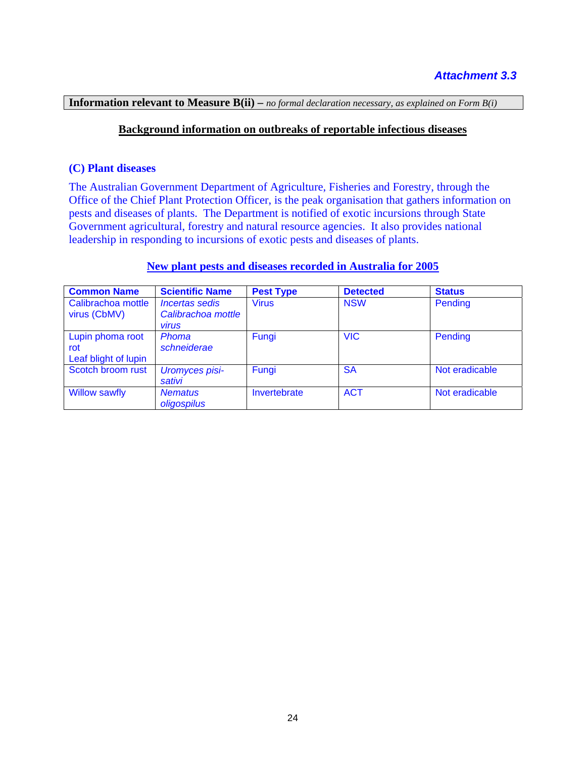**Information relevant to Measure B(ii) –** *no formal declaration necessary, as explained on Form B(i)*

# **Background information on outbreaks of reportable infectious diseases**

#### **(C) Plant diseases**

The Australian Government Department of Agriculture, Fisheries and Forestry, through the Office of the Chief Plant Protection Officer, is the peak organisation that gathers information on pests and diseases of plants. The Department is notified of exotic incursions through State Government agricultural, forestry and natural resource agencies. It also provides national leadership in responding to incursions of exotic pests and diseases of plants.

#### **New plant pests and diseases recorded in Australia for 2005**

| <b>Common Name</b>                              | <b>Scientific Name</b>                                             | <b>Pest Type</b> | <b>Detected</b> | <b>Status</b>  |
|-------------------------------------------------|--------------------------------------------------------------------|------------------|-----------------|----------------|
| Calibrachoa mottle<br>virus (CbMV)              | <i><b>Incertas sedis</b></i><br>Calibrachoa mottle<br><b>Virus</b> | <b>Virus</b>     | <b>NSW</b>      | Pending        |
| Lupin phoma root<br>rot<br>Leaf blight of lupin | Phoma<br>schneiderae                                               | Fungi            | <b>VIC</b>      | Pending        |
| Scotch broom rust                               | <b>Uromyces pisi-</b><br>sativi                                    | Fungi            | <b>SA</b>       | Not eradicable |
| <b>Willow sawfly</b>                            | <b>Nematus</b><br>oligospilus                                      | Invertebrate     | <b>ACT</b>      | Not eradicable |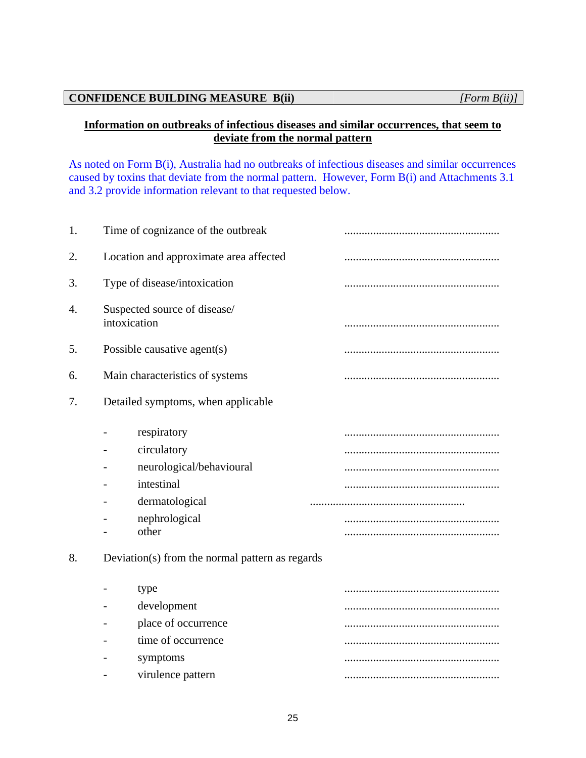# **CONFIDENCE BUILDING MEASURE B(ii)** *[Form B(ii)]*

# **Information on outbreaks of infectious diseases and similar occurrences, that seem to deviate from the normal pattern**

As noted on Form B(i), Australia had no outbreaks of infectious diseases and similar occurrences caused by toxins that deviate from the normal pattern. However, Form B(i) and Attachments 3.1 and 3.2 provide information relevant to that requested below.

| 1. | Time of cognizance of the outbreak                                                                                                                                  |  |
|----|---------------------------------------------------------------------------------------------------------------------------------------------------------------------|--|
| 2. | Location and approximate area affected                                                                                                                              |  |
| 3. | Type of disease/intoxication                                                                                                                                        |  |
| 4. | Suspected source of disease/<br>intoxication                                                                                                                        |  |
| 5. | Possible causative agent(s)                                                                                                                                         |  |
| 6. | Main characteristics of systems                                                                                                                                     |  |
| 7. | Detailed symptoms, when applicable                                                                                                                                  |  |
| 8. | respiratory<br>circulatory<br>neurological/behavioural<br>intestinal<br>dermatological<br>nephrological<br>other<br>Deviation(s) from the normal pattern as regards |  |
|    | type<br>development                                                                                                                                                 |  |
|    | place of occurrence                                                                                                                                                 |  |
|    | time of occurrence                                                                                                                                                  |  |
|    | symptoms                                                                                                                                                            |  |
|    | virulence pattern                                                                                                                                                   |  |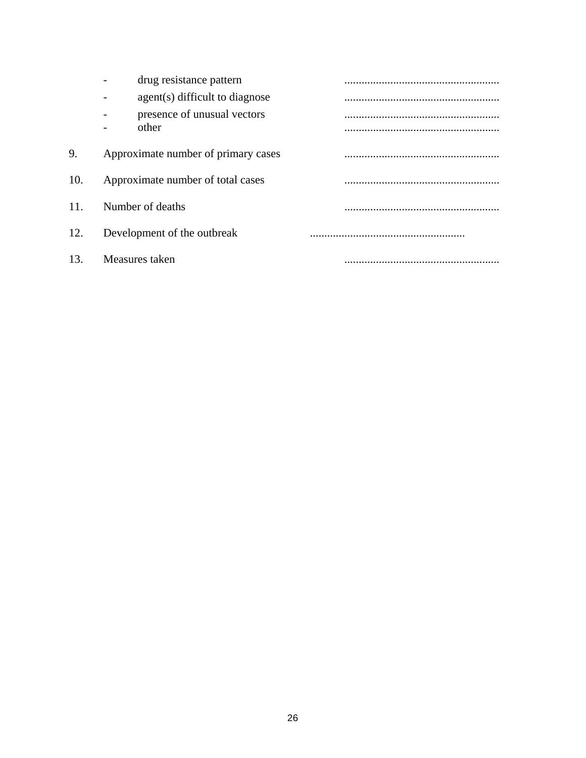|     | drug resistance pattern              |  |
|-----|--------------------------------------|--|
|     | agent(s) difficult to diagnose       |  |
|     | presence of unusual vectors<br>other |  |
| 9.  | Approximate number of primary cases  |  |
| 10. | Approximate number of total cases    |  |
| 11. | Number of deaths                     |  |
| 12. | Development of the outbreak          |  |
| 13. | Measures taken                       |  |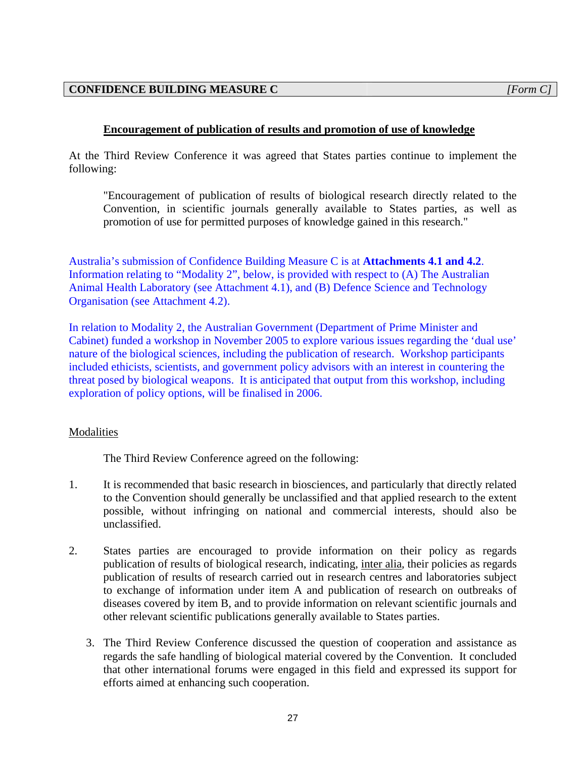# **CONFIDENCE BUILDING MEASURE C** *[Form C]*

# **Encouragement of publication of results and promotion of use of knowledge**

At the Third Review Conference it was agreed that States parties continue to implement the following:

"Encouragement of publication of results of biological research directly related to the Convention, in scientific journals generally available to States parties, as well as promotion of use for permitted purposes of knowledge gained in this research."

Australia's submission of Confidence Building Measure C is at **Attachments 4.1 and 4.2**. Information relating to "Modality 2", below, is provided with respect to (A) The Australian Animal Health Laboratory (see Attachment 4.1), and (B) Defence Science and Technology Organisation (see Attachment 4.2).

In relation to Modality 2, the Australian Government (Department of Prime Minister and Cabinet) funded a workshop in November 2005 to explore various issues regarding the 'dual use' nature of the biological sciences, including the publication of research. Workshop participants included ethicists, scientists, and government policy advisors with an interest in countering the threat posed by biological weapons. It is anticipated that output from this workshop, including exploration of policy options, will be finalised in 2006.

# Modalities

The Third Review Conference agreed on the following:

- 1. It is recommended that basic research in biosciences, and particularly that directly related to the Convention should generally be unclassified and that applied research to the extent possible, without infringing on national and commercial interests, should also be unclassified.
- 2. States parties are encouraged to provide information on their policy as regards publication of results of biological research, indicating, inter alia*,* their policies as regards publication of results of research carried out in research centres and laboratories subject to exchange of information under item A and publication of research on outbreaks of diseases covered by item B, and to provide information on relevant scientific journals and other relevant scientific publications generally available to States parties.
	- 3. The Third Review Conference discussed the question of cooperation and assistance as regards the safe handling of biological material covered by the Convention. It concluded that other international forums were engaged in this field and expressed its support for efforts aimed at enhancing such cooperation.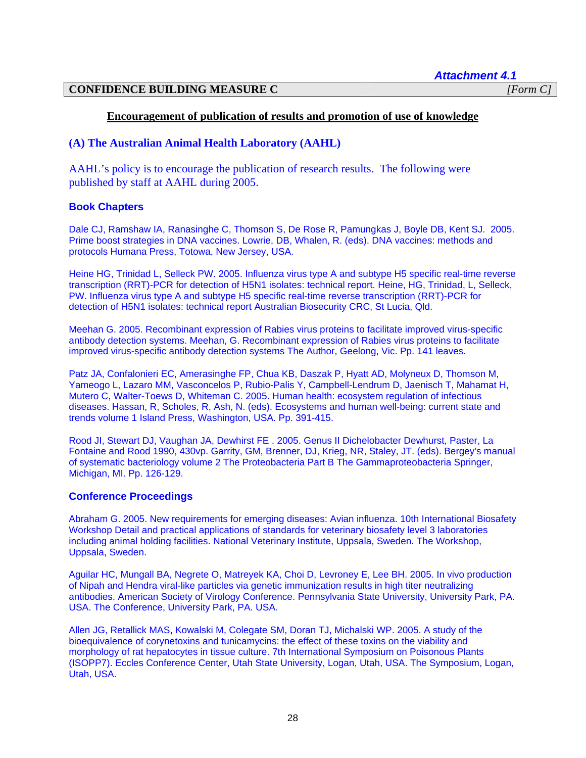*Attachment 4.1* 

#### **CONFIDENCE BUILDING MEASURE C** *[Form C]*

#### **Encouragement of publication of results and promotion of use of knowledge**

#### **(A) The Australian Animal Health Laboratory (AAHL)**

AAHL's policy is to encourage the publication of research results. The following were published by staff at AAHL during 2005.

#### **Book Chapters**

Dale CJ, Ramshaw IA, Ranasinghe C, Thomson S, De Rose R, Pamungkas J, Boyle DB, Kent SJ. 2005. Prime boost strategies in DNA vaccines. Lowrie, DB, Whalen, R. (eds). DNA vaccines: methods and protocols Humana Press, Totowa, New Jersey, USA.

Heine HG, Trinidad L, Selleck PW. 2005. Influenza virus type A and subtype H5 specific real-time reverse transcription (RRT)-PCR for detection of H5N1 isolates: technical report. Heine, HG, Trinidad, L, Selleck, PW. Influenza virus type A and subtype H5 specific real-time reverse transcription (RRT)-PCR for detection of H5N1 isolates: technical report Australian Biosecurity CRC, St Lucia, Qld.

Meehan G. 2005. Recombinant expression of Rabies virus proteins to facilitate improved virus-specific antibody detection systems. Meehan, G. Recombinant expression of Rabies virus proteins to facilitate improved virus-specific antibody detection systems The Author, Geelong, Vic. Pp. 141 leaves.

Patz JA, Confalonieri EC, Amerasinghe FP, Chua KB, Daszak P, Hyatt AD, Molyneux D, Thomson M, Yameogo L, Lazaro MM, Vasconcelos P, Rubio-Palis Y, Campbell-Lendrum D, Jaenisch T, Mahamat H, Mutero C, Walter-Toews D, Whiteman C. 2005. Human health: ecosystem regulation of infectious diseases. Hassan, R, Scholes, R, Ash, N. (eds). Ecosystems and human well-being: current state and trends volume 1 Island Press, Washington, USA. Pp. 391-415.

Rood JI, Stewart DJ, Vaughan JA, Dewhirst FE . 2005. Genus II Dichelobacter Dewhurst, Paster, La Fontaine and Rood 1990, 430vp. Garrity, GM, Brenner, DJ, Krieg, NR, Staley, JT. (eds). Bergey's manual of systematic bacteriology volume 2 The Proteobacteria Part B The Gammaproteobacteria Springer, Michigan, MI. Pp. 126-129.

#### **Conference Proceedings**

Abraham G. 2005. New requirements for emerging diseases: Avian influenza. 10th International Biosafety Workshop Detail and practical applications of standards for veterinary biosafety level 3 laboratories including animal holding facilities. National Veterinary Institute, Uppsala, Sweden. The Workshop, Uppsala, Sweden.

Aguilar HC, Mungall BA, Negrete O, Matreyek KA, Choi D, Levroney E, Lee BH. 2005. In vivo production of Nipah and Hendra viral-like particles via genetic immunization results in high titer neutralizing antibodies. American Society of Virology Conference. Pennsylvania State University, University Park, PA. USA. The Conference, University Park, PA. USA.

Allen JG, Retallick MAS, Kowalski M, Colegate SM, Doran TJ, Michalski WP. 2005. A study of the bioequivalence of corynetoxins and tunicamycins: the effect of these toxins on the viability and morphology of rat hepatocytes in tissue culture. 7th International Symposium on Poisonous Plants (ISOPP7). Eccles Conference Center, Utah State University, Logan, Utah, USA. The Symposium, Logan, Utah, USA.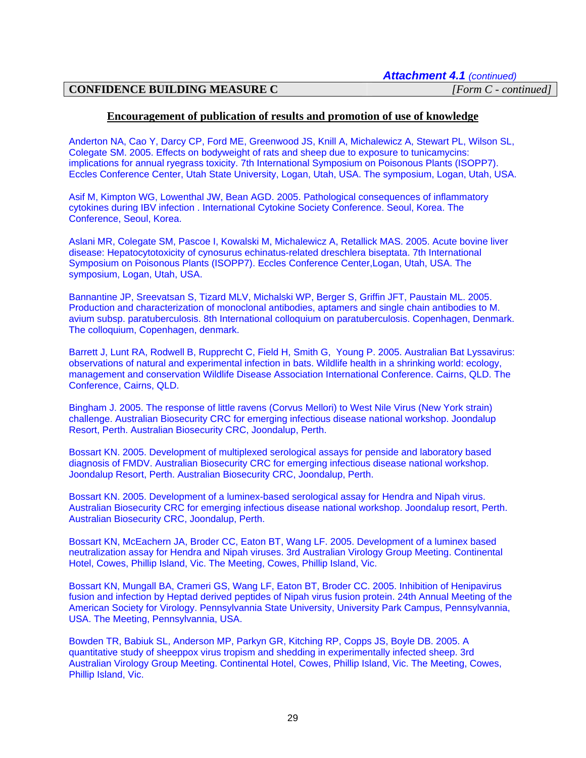#### **Encouragement of publication of results and promotion of use of knowledge**

Anderton NA, Cao Y, Darcy CP, Ford ME, Greenwood JS, Knill A, Michalewicz A, Stewart PL, Wilson SL, Colegate SM. 2005. Effects on bodyweight of rats and sheep due to exposure to tunicamycins: implications for annual ryegrass toxicity. 7th International Symposium on Poisonous Plants (ISOPP7). Eccles Conference Center, Utah State University, Logan, Utah, USA. The symposium, Logan, Utah, USA.

Asif M, Kimpton WG, Lowenthal JW, Bean AGD. 2005. Pathological consequences of inflammatory cytokines during IBV infection . International Cytokine Society Conference. Seoul, Korea. The Conference, Seoul, Korea.

Aslani MR, Colegate SM, Pascoe I, Kowalski M, Michalewicz A, Retallick MAS. 2005. Acute bovine liver disease: Hepatocytotoxicity of cynosurus echinatus-related dreschlera biseptata. 7th International Symposium on Poisonous Plants (ISOPP7). Eccles Conference Center,Logan, Utah, USA. The symposium, Logan, Utah, USA.

Bannantine JP, Sreevatsan S, Tizard MLV, Michalski WP, Berger S, Griffin JFT, Paustain ML. 2005. Production and characterization of monoclonal antibodies, aptamers and single chain antibodies to M. avium subsp. paratuberculosis. 8th International colloquium on paratuberculosis. Copenhagen, Denmark. The colloquium, Copenhagen, denmark.

Barrett J, Lunt RA, Rodwell B, Rupprecht C, Field H, Smith G, Young P. 2005. Australian Bat Lyssavirus: observations of natural and experimental infection in bats. Wildlife health in a shrinking world: ecology, management and conservation Wildlife Disease Association International Conference. Cairns, QLD. The Conference, Cairns, QLD.

Bingham J. 2005. The response of little ravens (Corvus Mellori) to West Nile Virus (New York strain) challenge. Australian Biosecurity CRC for emerging infectious disease national workshop. Joondalup Resort, Perth. Australian Biosecurity CRC, Joondalup, Perth.

Bossart KN. 2005. Development of multiplexed serological assays for penside and laboratory based diagnosis of FMDV. Australian Biosecurity CRC for emerging infectious disease national workshop. Joondalup Resort, Perth. Australian Biosecurity CRC, Joondalup, Perth.

Bossart KN. 2005. Development of a luminex-based serological assay for Hendra and Nipah virus. Australian Biosecurity CRC for emerging infectious disease national workshop. Joondalup resort, Perth. Australian Biosecurity CRC, Joondalup, Perth.

Bossart KN, McEachern JA, Broder CC, Eaton BT, Wang LF. 2005. Development of a luminex based neutralization assay for Hendra and Nipah viruses. 3rd Australian Virology Group Meeting. Continental Hotel, Cowes, Phillip Island, Vic. The Meeting, Cowes, Phillip Island, Vic.

Bossart KN, Mungall BA, Crameri GS, Wang LF, Eaton BT, Broder CC. 2005. Inhibition of Henipavirus fusion and infection by Heptad derived peptides of Nipah virus fusion protein. 24th Annual Meeting of the American Society for Virology. Pennsylvannia State University, University Park Campus, Pennsylvannia, USA. The Meeting, Pennsylvannia, USA.

Bowden TR, Babiuk SL, Anderson MP, Parkyn GR, Kitching RP, Copps JS, Boyle DB. 2005. A quantitative study of sheeppox virus tropism and shedding in experimentally infected sheep. 3rd Australian Virology Group Meeting. Continental Hotel, Cowes, Phillip Island, Vic. The Meeting, Cowes, Phillip Island, Vic.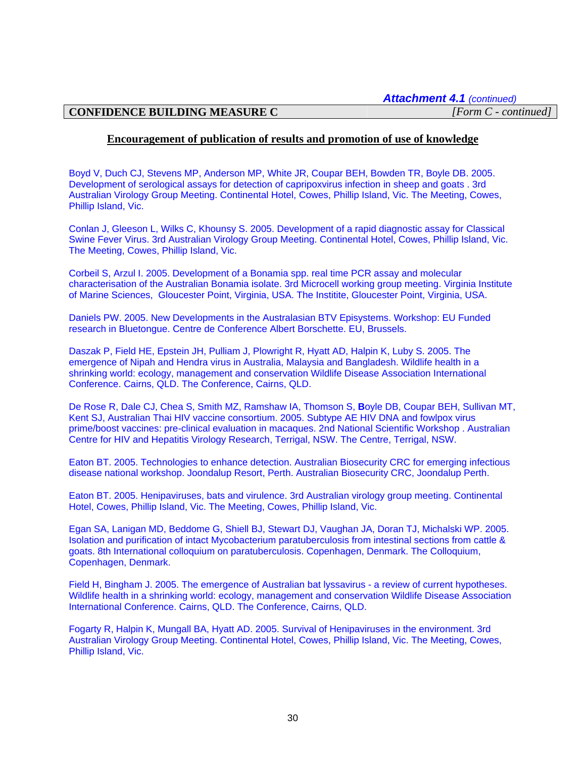*Attachment 4.1 (continued)*

# **CONFIDENCE BUILDING MEASURE C** *[Form C - continued]*

#### **Encouragement of publication of results and promotion of use of knowledge**

Boyd V, Duch CJ, Stevens MP, Anderson MP, White JR, Coupar BEH, Bowden TR, Boyle DB. 2005. Development of serological assays for detection of capripoxvirus infection in sheep and goats . 3rd Australian Virology Group Meeting. Continental Hotel, Cowes, Phillip Island, Vic. The Meeting, Cowes, Phillip Island, Vic.

Conlan J, Gleeson L, Wilks C, Khounsy S. 2005. Development of a rapid diagnostic assay for Classical Swine Fever Virus. 3rd Australian Virology Group Meeting. Continental Hotel, Cowes, Phillip Island, Vic. The Meeting, Cowes, Phillip Island, Vic.

Corbeil S, Arzul I. 2005. Development of a Bonamia spp. real time PCR assay and molecular characterisation of the Australian Bonamia isolate. 3rd Microcell working group meeting. Virginia Institute of Marine Sciences, Gloucester Point, Virginia, USA. The Institite, Gloucester Point, Virginia, USA.

Daniels PW. 2005. New Developments in the Australasian BTV Episystems. Workshop: EU Funded research in Bluetongue. Centre de Conference Albert Borschette. EU, Brussels.

Daszak P, Field HE, Epstein JH, Pulliam J, Plowright R, Hyatt AD, Halpin K, Luby S. 2005. The emergence of Nipah and Hendra virus in Australia, Malaysia and Bangladesh. Wildlife health in a shrinking world: ecology, management and conservation Wildlife Disease Association International Conference. Cairns, QLD. The Conference, Cairns, QLD.

De Rose R, Dale CJ, Chea S, Smith MZ, Ramshaw IA, Thomson S, **B**oyle DB, Coupar BEH, Sullivan MT, Kent SJ, Australian Thai HIV vaccine consortium. 2005. Subtype AE HIV DNA and fowlpox virus prime/boost vaccines: pre-clinical evaluation in macaques. 2nd National Scientific Workshop . Australian Centre for HIV and Hepatitis Virology Research, Terrigal, NSW. The Centre, Terrigal, NSW.

Eaton BT. 2005. Technologies to enhance detection. Australian Biosecurity CRC for emerging infectious disease national workshop. Joondalup Resort, Perth. Australian Biosecurity CRC, Joondalup Perth.

Eaton BT. 2005. Henipaviruses, bats and virulence. 3rd Australian virology group meeting. Continental Hotel, Cowes, Phillip Island, Vic. The Meeting, Cowes, Phillip Island, Vic.

Egan SA, Lanigan MD, Beddome G, Shiell BJ, Stewart DJ, Vaughan JA, Doran TJ, Michalski WP. 2005. Isolation and purification of intact Mycobacterium paratuberculosis from intestinal sections from cattle & goats. 8th International colloquium on paratuberculosis. Copenhagen, Denmark. The Colloquium, Copenhagen, Denmark.

Field H, Bingham J. 2005. The emergence of Australian bat lyssavirus - a review of current hypotheses. Wildlife health in a shrinking world: ecology, management and conservation Wildlife Disease Association International Conference. Cairns, QLD. The Conference, Cairns, QLD.

Fogarty R, Halpin K, Mungall BA, Hyatt AD. 2005. Survival of Henipaviruses in the environment. 3rd Australian Virology Group Meeting. Continental Hotel, Cowes, Phillip Island, Vic. The Meeting, Cowes, Phillip Island, Vic.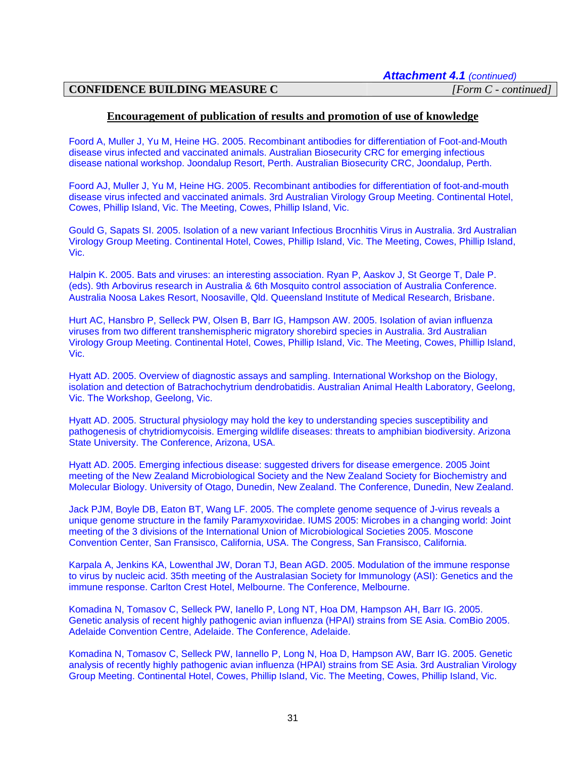#### **Encouragement of publication of results and promotion of use of knowledge**

Foord A, Muller J, Yu M, Heine HG. 2005. Recombinant antibodies for differentiation of Foot-and-Mouth disease virus infected and vaccinated animals. Australian Biosecurity CRC for emerging infectious disease national workshop. Joondalup Resort, Perth. Australian Biosecurity CRC, Joondalup, Perth.

Foord AJ, Muller J, Yu M, Heine HG. 2005. Recombinant antibodies for differentiation of foot-and-mouth disease virus infected and vaccinated animals. 3rd Australian Virology Group Meeting. Continental Hotel, Cowes, Phillip Island, Vic. The Meeting, Cowes, Phillip Island, Vic.

Gould G, Sapats SI. 2005. Isolation of a new variant Infectious Brocnhitis Virus in Australia. 3rd Australian Virology Group Meeting. Continental Hotel, Cowes, Phillip Island, Vic. The Meeting, Cowes, Phillip Island, Vic.

Halpin K. 2005. Bats and viruses: an interesting association. Ryan P, Aaskov J, St George T, Dale P. (eds). 9th Arbovirus research in Australia & 6th Mosquito control association of Australia Conference. Australia Noosa Lakes Resort, Noosaville, Qld. Queensland Institute of Medical Research, Brisbane.

Hurt AC, Hansbro P, Selleck PW, Olsen B, Barr IG, Hampson AW. 2005. Isolation of avian influenza viruses from two different transhemispheric migratory shorebird species in Australia. 3rd Australian Virology Group Meeting. Continental Hotel, Cowes, Phillip Island, Vic. The Meeting, Cowes, Phillip Island, Vic.

Hyatt AD. 2005. Overview of diagnostic assays and sampling. International Workshop on the Biology, isolation and detection of Batrachochytrium dendrobatidis. Australian Animal Health Laboratory, Geelong, Vic. The Workshop, Geelong, Vic.

Hyatt AD. 2005. Structural physiology may hold the key to understanding species susceptibility and pathogenesis of chytridiomycoisis. Emerging wildlife diseases: threats to amphibian biodiversity. Arizona State University. The Conference, Arizona, USA.

Hyatt AD. 2005. Emerging infectious disease: suggested drivers for disease emergence. 2005 Joint meeting of the New Zealand Microbiological Society and the New Zealand Society for Biochemistry and Molecular Biology. University of Otago, Dunedin, New Zealand. The Conference, Dunedin, New Zealand.

Jack PJM, Boyle DB, Eaton BT, Wang LF. 2005. The complete genome sequence of J-virus reveals a unique genome structure in the family Paramyxoviridae. IUMS 2005: Microbes in a changing world: Joint meeting of the 3 divisions of the International Union of Microbiological Societies 2005. Moscone Convention Center, San Fransisco, California, USA. The Congress, San Fransisco, California.

Karpala A, Jenkins KA, Lowenthal JW, Doran TJ, Bean AGD. 2005. Modulation of the immune response to virus by nucleic acid. 35th meeting of the Australasian Society for Immunology (ASI): Genetics and the immune response. Carlton Crest Hotel, Melbourne. The Conference, Melbourne.

Komadina N, Tomasov C, Selleck PW, Ianello P, Long NT, Hoa DM, Hampson AH, Barr IG. 2005. Genetic analysis of recent highly pathogenic avian influenza (HPAI) strains from SE Asia. ComBio 2005. Adelaide Convention Centre, Adelaide. The Conference, Adelaide.

Komadina N, Tomasov C, Selleck PW, Iannello P, Long N, Hoa D, Hampson AW, Barr IG. 2005. Genetic analysis of recently highly pathogenic avian influenza (HPAI) strains from SE Asia. 3rd Australian Virology Group Meeting. Continental Hotel, Cowes, Phillip Island, Vic. The Meeting, Cowes, Phillip Island, Vic.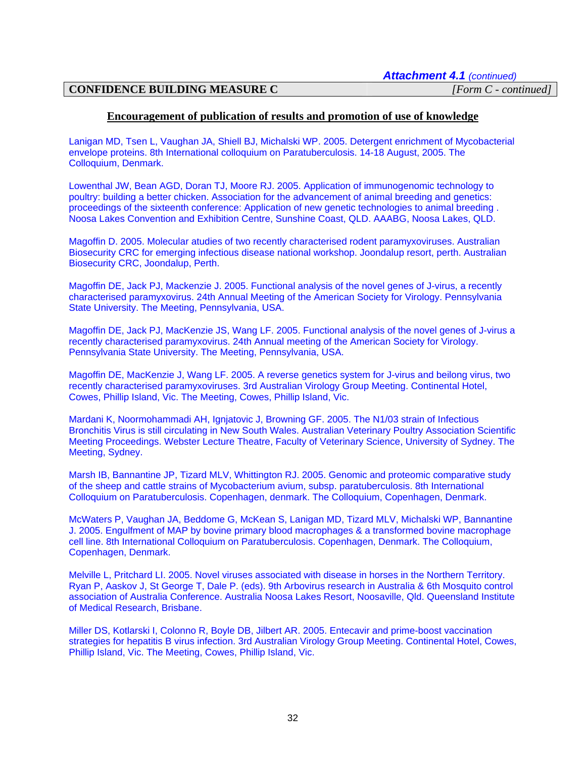#### **Encouragement of publication of results and promotion of use of knowledge**

Lanigan MD, Tsen L, Vaughan JA, Shiell BJ, Michalski WP. 2005. Detergent enrichment of Mycobacterial envelope proteins. 8th International colloquium on Paratuberculosis. 14-18 August, 2005. The Colloquium, Denmark.

Lowenthal JW, Bean AGD, Doran TJ, Moore RJ. 2005. Application of immunogenomic technology to poultry: building a better chicken. Association for the advancement of animal breeding and genetics: proceedings of the sixteenth conference: Application of new genetic technologies to animal breeding . Noosa Lakes Convention and Exhibition Centre, Sunshine Coast, QLD. AAABG, Noosa Lakes, QLD.

Magoffin D. 2005. Molecular atudies of two recently characterised rodent paramyxoviruses. Australian Biosecurity CRC for emerging infectious disease national workshop. Joondalup resort, perth. Australian Biosecurity CRC, Joondalup, Perth.

Magoffin DE, Jack PJ, Mackenzie J. 2005. Functional analysis of the novel genes of J-virus, a recently characterised paramyxovirus. 24th Annual Meeting of the American Society for Virology. Pennsylvania State University. The Meeting, Pennsylvania, USA.

Magoffin DE, Jack PJ, MacKenzie JS, Wang LF. 2005. Functional analysis of the novel genes of J-virus a recently characterised paramyxovirus. 24th Annual meeting of the American Society for Virology. Pennsylvania State University. The Meeting, Pennsylvania, USA.

Magoffin DE, MacKenzie J, Wang LF. 2005. A reverse genetics system for J-virus and beilong virus, two recently characterised paramyxoviruses. 3rd Australian Virology Group Meeting. Continental Hotel, Cowes, Phillip Island, Vic. The Meeting, Cowes, Phillip Island, Vic.

Mardani K, Noormohammadi AH, Ignjatovic J, Browning GF. 2005. The N1/03 strain of Infectious Bronchitis Virus is still circulating in New South Wales. Australian Veterinary Poultry Association Scientific Meeting Proceedings. Webster Lecture Theatre, Faculty of Veterinary Science, University of Sydney. The Meeting, Sydney.

Marsh IB, Bannantine JP, Tizard MLV, Whittington RJ. 2005. Genomic and proteomic comparative study of the sheep and cattle strains of Mycobacterium avium, subsp. paratuberculosis. 8th International Colloquium on Paratuberculosis. Copenhagen, denmark. The Colloquium, Copenhagen, Denmark.

McWaters P, Vaughan JA, Beddome G, McKean S, Lanigan MD, Tizard MLV, Michalski WP, Bannantine J. 2005. Engulfment of MAP by bovine primary blood macrophages & a transformed bovine macrophage cell line. 8th International Colloquium on Paratuberculosis. Copenhagen, Denmark. The Colloquium, Copenhagen, Denmark.

Melville L, Pritchard LI. 2005. Novel viruses associated with disease in horses in the Northern Territory. Ryan P, Aaskov J, St George T, Dale P. (eds). 9th Arbovirus research in Australia & 6th Mosquito control association of Australia Conference. Australia Noosa Lakes Resort, Noosaville, Qld. Queensland Institute of Medical Research, Brisbane.

Miller DS, Kotlarski I, Colonno R, Boyle DB, Jilbert AR. 2005. Entecavir and prime-boost vaccination strategies for hepatitis B virus infection. 3rd Australian Virology Group Meeting. Continental Hotel, Cowes, Phillip Island, Vic. The Meeting, Cowes, Phillip Island, Vic.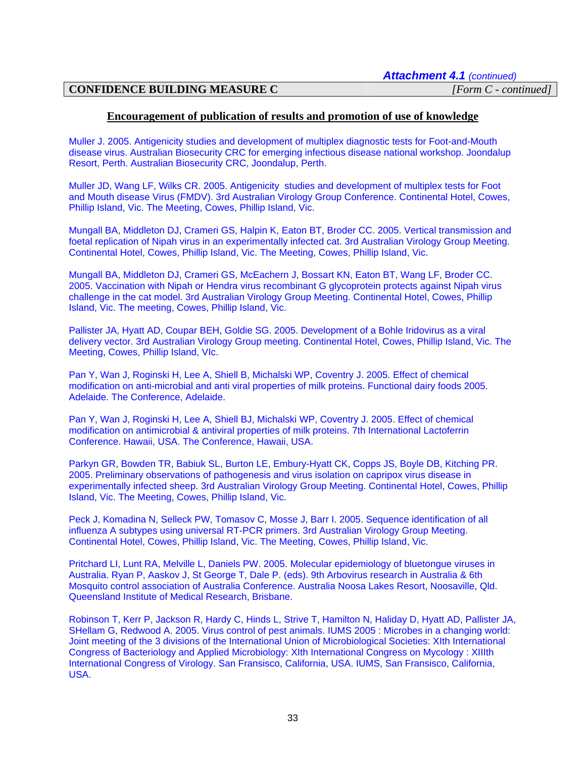#### **Encouragement of publication of results and promotion of use of knowledge**

Muller J. 2005. Antigenicity studies and development of multiplex diagnostic tests for Foot-and-Mouth disease virus. Australian Biosecurity CRC for emerging infectious disease national workshop. Joondalup Resort, Perth. Australian Biosecurity CRC, Joondalup, Perth.

Muller JD, Wang LF, Wilks CR. 2005. Antigenicity studies and development of multiplex tests for Foot and Mouth disease Virus (FMDV). 3rd Australian Virology Group Conference. Continental Hotel, Cowes, Phillip Island, Vic. The Meeting, Cowes, Phillip Island, Vic.

Mungall BA, Middleton DJ, Crameri GS, Halpin K, Eaton BT, Broder CC. 2005. Vertical transmission and foetal replication of Nipah virus in an experimentally infected cat. 3rd Australian Virology Group Meeting. Continental Hotel, Cowes, Phillip Island, Vic. The Meeting, Cowes, Phillip Island, Vic.

Mungall BA, Middleton DJ, Crameri GS, McEachern J, Bossart KN, Eaton BT, Wang LF, Broder CC. 2005. Vaccination with Nipah or Hendra virus recombinant G glycoprotein protects against Nipah virus challenge in the cat model. 3rd Australian Virology Group Meeting. Continental Hotel, Cowes, Phillip Island, Vic. The meeting, Cowes, Phillip Island, Vic.

Pallister JA, Hyatt AD, Coupar BEH, Goldie SG. 2005. Development of a Bohle Iridovirus as a viral delivery vector. 3rd Australian Virology Group meeting. Continental Hotel, Cowes, Phillip Island, Vic. The Meeting, Cowes, Phillip Island, VIc.

Pan Y, Wan J, Roginski H, Lee A, Shiell B, Michalski WP, Coventry J. 2005. Effect of chemical modification on anti-microbial and anti viral properties of milk proteins. Functional dairy foods 2005. Adelaide. The Conference, Adelaide.

Pan Y, Wan J, Roginski H, Lee A, Shiell BJ, Michalski WP, Coventry J. 2005. Effect of chemical modification on antimicrobial & antiviral properties of milk proteins. 7th International Lactoferrin Conference. Hawaii, USA. The Conference, Hawaii, USA.

Parkyn GR, Bowden TR, Babiuk SL, Burton LE, Embury-Hyatt CK, Copps JS, Boyle DB, Kitching PR. 2005. Preliminary observations of pathogenesis and virus isolation on capripox virus disease in experimentally infected sheep. 3rd Australian Virology Group Meeting. Continental Hotel, Cowes, Phillip Island, Vic. The Meeting, Cowes, Phillip Island, Vic.

Peck J, Komadina N, Selleck PW, Tomasov C, Mosse J, Barr I. 2005. Sequence identification of all influenza A subtypes using universal RT-PCR primers. 3rd Australian Virology Group Meeting. Continental Hotel, Cowes, Phillip Island, Vic. The Meeting, Cowes, Phillip Island, Vic.

Pritchard LI, Lunt RA, Melville L, Daniels PW. 2005. Molecular epidemiology of bluetongue viruses in Australia. Ryan P, Aaskov J, St George T, Dale P. (eds). 9th Arbovirus research in Australia & 6th Mosquito control association of Australia Conference. Australia Noosa Lakes Resort, Noosaville, Qld. Queensland Institute of Medical Research, Brisbane.

Robinson T, Kerr P, Jackson R, Hardy C, Hinds L, Strive T, Hamilton N, Haliday D, Hyatt AD, Pallister JA, SHellam G, Redwood A. 2005. Virus control of pest animals. IUMS 2005 : Microbes in a changing world: Joint meeting of the 3 divisions of the International Union of Microbiological Societies: XIth International Congress of Bacteriology and Applied Microbiology: XIth International Congress on Mycology : XIIIth International Congress of Virology. San Fransisco, California, USA. IUMS, San Fransisco, California, USA.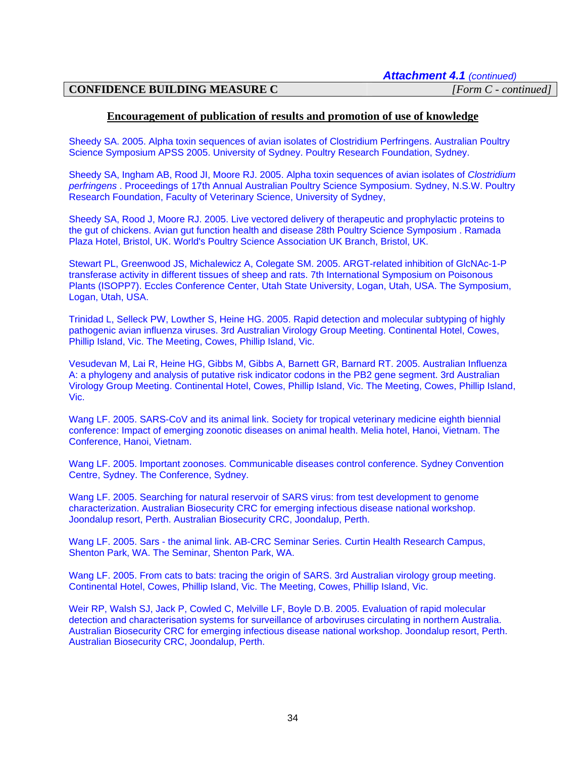#### **Encouragement of publication of results and promotion of use of knowledge**

Sheedy SA. 2005. Alpha toxin sequences of avian isolates of Clostridium Perfringens. Australian Poultry Science Symposium APSS 2005. University of Sydney. Poultry Research Foundation, Sydney.

Sheedy SA, Ingham AB, Rood JI, Moore RJ. 2005. Alpha toxin sequences of avian isolates of *Clostridium perfringens* . Proceedings of 17th Annual Australian Poultry Science Symposium. Sydney, N.S.W. Poultry Research Foundation, Faculty of Veterinary Science, University of Sydney,

Sheedy SA, Rood J, Moore RJ. 2005. Live vectored delivery of therapeutic and prophylactic proteins to the gut of chickens. Avian gut function health and disease 28th Poultry Science Symposium . Ramada Plaza Hotel, Bristol, UK. World's Poultry Science Association UK Branch, Bristol, UK.

Stewart PL, Greenwood JS, Michalewicz A, Colegate SM. 2005. ARGT-related inhibition of GlcNAc-1-P transferase activity in different tissues of sheep and rats. 7th International Symposium on Poisonous Plants (ISOPP7). Eccles Conference Center, Utah State University, Logan, Utah, USA. The Symposium, Logan, Utah, USA.

Trinidad L, Selleck PW, Lowther S, Heine HG. 2005. Rapid detection and molecular subtyping of highly pathogenic avian influenza viruses. 3rd Australian Virology Group Meeting. Continental Hotel, Cowes, Phillip Island, Vic. The Meeting, Cowes, Phillip Island, Vic.

Vesudevan M, Lai R, Heine HG, Gibbs M, Gibbs A, Barnett GR, Barnard RT. 2005. Australian Influenza A: a phylogeny and analysis of putative risk indicator codons in the PB2 gene segment. 3rd Australian Virology Group Meeting. Continental Hotel, Cowes, Phillip Island, Vic. The Meeting, Cowes, Phillip Island, Vic.

Wang LF. 2005. SARS-CoV and its animal link. Society for tropical veterinary medicine eighth biennial conference: Impact of emerging zoonotic diseases on animal health. Melia hotel, Hanoi, Vietnam. The Conference, Hanoi, Vietnam.

Wang LF. 2005. Important zoonoses. Communicable diseases control conference. Sydney Convention Centre, Sydney. The Conference, Sydney.

Wang LF. 2005. Searching for natural reservoir of SARS virus: from test development to genome characterization. Australian Biosecurity CRC for emerging infectious disease national workshop. Joondalup resort, Perth. Australian Biosecurity CRC, Joondalup, Perth.

Wang LF. 2005. Sars - the animal link. AB-CRC Seminar Series. Curtin Health Research Campus, Shenton Park, WA. The Seminar, Shenton Park, WA.

Wang LF. 2005. From cats to bats: tracing the origin of SARS. 3rd Australian virology group meeting. Continental Hotel, Cowes, Phillip Island, Vic. The Meeting, Cowes, Phillip Island, Vic.

Weir RP, Walsh SJ, Jack P, Cowled C, Melville LF, Boyle D.B. 2005. Evaluation of rapid molecular detection and characterisation systems for surveillance of arboviruses circulating in northern Australia. Australian Biosecurity CRC for emerging infectious disease national workshop. Joondalup resort, Perth. Australian Biosecurity CRC, Joondalup, Perth.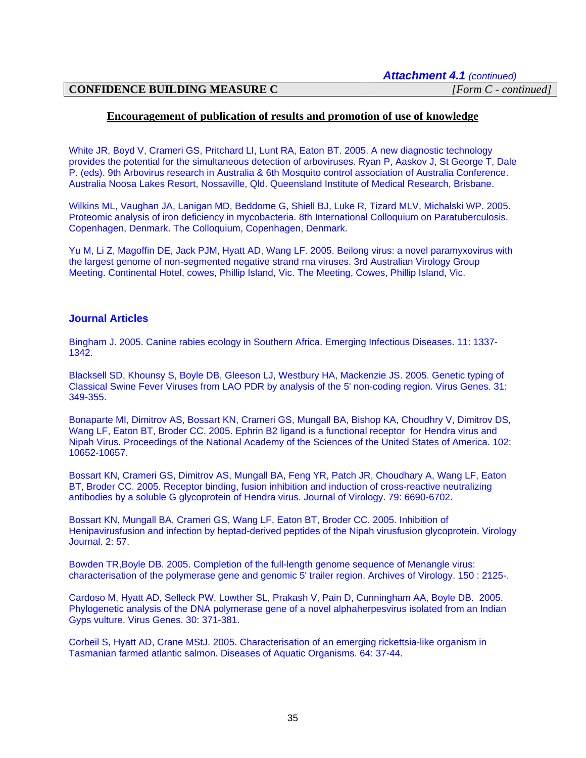#### **Encouragement of publication of results and promotion of use of knowledge**

White JR, Boyd V, Crameri GS, Pritchard LI, Lunt RA, Eaton BT. 2005. A new diagnostic technology provides the potential for the simultaneous detection of arboviruses. Ryan P, Aaskov J, St George T, Dale P. (eds). 9th Arbovirus research in Australia & 6th Mosquito control association of Australia Conference. Australia Noosa Lakes Resort, Nossaville, Qld. Queensland Institute of Medical Research, Brisbane.

Wilkins ML, Vaughan JA, Lanigan MD, Beddome G, Shiell BJ, Luke R, Tizard MLV, Michalski WP. 2005. Proteomic analysis of iron deficiency in mycobacteria. 8th International Colloquium on Paratuberculosis. Copenhagen, Denmark. The Colloquium, Copenhagen, Denmark.

Yu M, Li Z, Magoffin DE, Jack PJM, Hyatt AD, Wang LF. 2005. Beilong virus: a novel paramyxovirus with the largest genome of non-segmented negative strand rna viruses. 3rd Australian Virology Group Meeting. Continental Hotel, cowes, Phillip Island, Vic. The Meeting, Cowes, Phillip Island, Vic.

#### **Journal Articles**

Bingham J. 2005. Canine rabies ecology in Southern Africa. Emerging Infectious Diseases. 11: 1337- 1342.

Blacksell SD, Khounsy S, Boyle DB, Gleeson LJ, Westbury HA, Mackenzie JS. 2005. Genetic typing of Classical Swine Fever Viruses from LAO PDR by analysis of the 5' non-coding region. Virus Genes. 31: 349-355.

Bonaparte MI, Dimitrov AS, Bossart KN, Crameri GS, Mungall BA, Bishop KA, Choudhry V, Dimitrov DS, Wang LF, Eaton BT, Broder CC. 2005. Ephrin B2 ligand is a functional receptor for Hendra virus and Nipah Virus. Proceedings of the National Academy of the Sciences of the United States of America. 102: 10652-10657.

Bossart KN, Crameri GS, Dimitrov AS, Mungall BA, Feng YR, Patch JR, Choudhary A, Wang LF, Eaton BT, Broder CC. 2005. Receptor binding, fusion inhibition and induction of cross-reactive neutralizing antibodies by a soluble G glycoprotein of Hendra virus. Journal of Virology. 79: 6690-6702.

Bossart KN, Mungall BA, Crameri GS, Wang LF, Eaton BT, Broder CC. 2005. Inhibition of Henipavirusfusion and infection by heptad-derived peptides of the Nipah virusfusion glycoprotein. Virology Journal. 2: 57.

Bowden TR,Boyle DB. 2005. Completion of the full-length genome sequence of Menangle virus: characterisation of the polymerase gene and genomic 5' trailer region. Archives of Virology. 150 : 2125-.

Cardoso M, Hyatt AD, Selleck PW, Lowther SL, Prakash V, Pain D, Cunningham AA, Boyle DB. 2005. Phylogenetic analysis of the DNA polymerase gene of a novel alphaherpesvirus isolated from an Indian Gyps vulture. Virus Genes. 30: 371-381.

Corbeil S, Hyatt AD, Crane MStJ. 2005. Characterisation of an emerging rickettsia-like organism in Tasmanian farmed atlantic salmon. Diseases of Aquatic Organisms. 64: 37-44.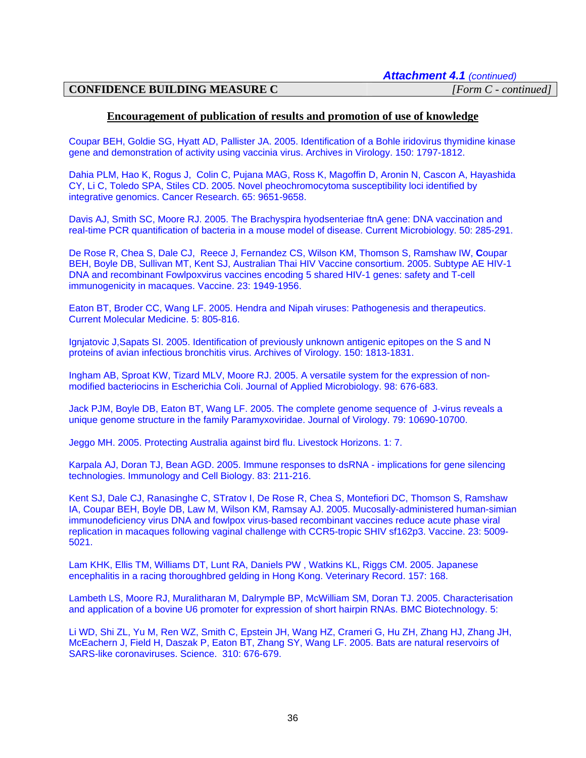#### **Encouragement of publication of results and promotion of use of knowledge**

Coupar BEH, Goldie SG, Hyatt AD, Pallister JA. 2005. Identification of a Bohle iridovirus thymidine kinase gene and demonstration of activity using vaccinia virus. Archives in Virology. 150: 1797-1812.

Dahia PLM, Hao K, Rogus J, Colin C, Pujana MAG, Ross K, Magoffin D, Aronin N, Cascon A, Hayashida CY, Li C, Toledo SPA, Stiles CD. 2005. Novel pheochromocytoma susceptibility loci identified by integrative genomics. Cancer Research. 65: 9651-9658.

Davis AJ, Smith SC, Moore RJ. 2005. The Brachyspira hyodsenteriae ftnA gene: DNA vaccination and real-time PCR quantification of bacteria in a mouse model of disease. Current Microbiology. 50: 285-291.

De Rose R, Chea S, Dale CJ, Reece J, Fernandez CS, Wilson KM, Thomson S, Ramshaw IW, **C**oupar BEH, Boyle DB, Sullivan MT, Kent SJ, Australian Thai HIV Vaccine consortium. 2005. Subtype AE HIV-1 DNA and recombinant Fowlpoxvirus vaccines encoding 5 shared HIV-1 genes: safety and T-cell immunogenicity in macaques. Vaccine. 23: 1949-1956.

Eaton BT, Broder CC, Wang LF. 2005. Hendra and Nipah viruses: Pathogenesis and therapeutics. Current Molecular Medicine. 5: 805-816.

Ignjatovic J,Sapats SI. 2005. Identification of previously unknown antigenic epitopes on the S and N proteins of avian infectious bronchitis virus. Archives of Virology. 150: 1813-1831.

Ingham AB, Sproat KW, Tizard MLV, Moore RJ. 2005. A versatile system for the expression of nonmodified bacteriocins in Escherichia Coli. Journal of Applied Microbiology. 98: 676-683.

Jack PJM, Boyle DB, Eaton BT, Wang LF. 2005. The complete genome sequence of J-virus reveals a unique genome structure in the family Paramyxoviridae. Journal of Virology. 79: 10690-10700.

Jeggo MH. 2005. Protecting Australia against bird flu. Livestock Horizons. 1: 7.

Karpala AJ, Doran TJ, Bean AGD. 2005. Immune responses to dsRNA - implications for gene silencing technologies. Immunology and Cell Biology. 83: 211-216.

Kent SJ, Dale CJ, Ranasinghe C, STratov I, De Rose R, Chea S, Montefiori DC, Thomson S, Ramshaw IA, Coupar BEH, Boyle DB, Law M, Wilson KM, Ramsay AJ. 2005. Mucosally-administered human-simian immunodeficiency virus DNA and fowlpox virus-based recombinant vaccines reduce acute phase viral replication in macaques following vaginal challenge with CCR5-tropic SHIV sf162p3. Vaccine. 23: 5009- 5021.

Lam KHK, Ellis TM, Williams DT, Lunt RA, Daniels PW , Watkins KL, Riggs CM. 2005. Japanese encephalitis in a racing thoroughbred gelding in Hong Kong. Veterinary Record. 157: 168.

Lambeth LS, Moore RJ, Muralitharan M, Dalrymple BP, McWilliam SM, Doran TJ. 2005. Characterisation and application of a bovine U6 promoter for expression of short hairpin RNAs. BMC Biotechnology. 5:

Li WD, Shi ZL, Yu M, Ren WZ, Smith C, Epstein JH, Wang HZ, Crameri G, Hu ZH, Zhang HJ, Zhang JH, McEachern J, Field H, Daszak P, Eaton BT, Zhang SY, Wang LF. 2005. Bats are natural reservoirs of SARS-like coronaviruses. Science. 310: 676-679.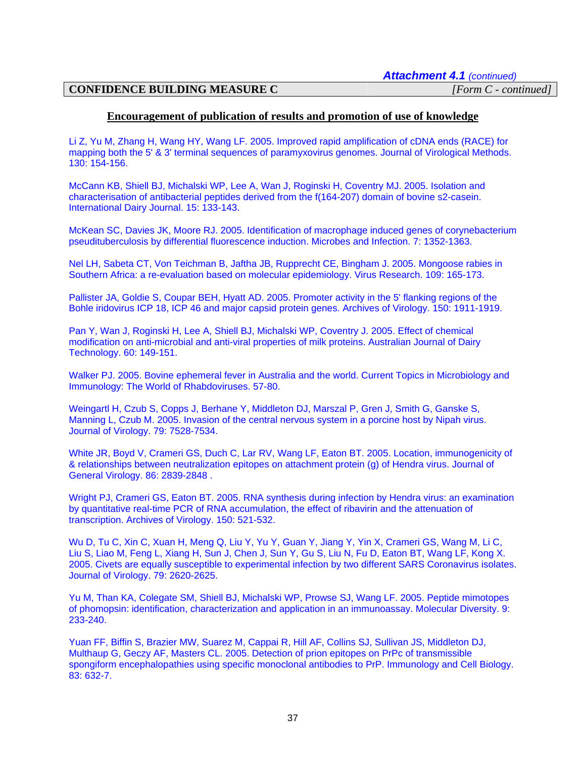#### **Encouragement of publication of results and promotion of use of knowledge**

Li Z, Yu M, Zhang H, Wang HY, Wang LF. 2005. Improved rapid amplification of cDNA ends (RACE) for mapping both the 5' & 3' terminal sequences of paramyxovirus genomes. Journal of Virological Methods. 130: 154-156.

McCann KB, Shiell BJ, Michalski WP, Lee A, Wan J, Roginski H, Coventry MJ. 2005. Isolation and characterisation of antibacterial peptides derived from the f(164-207) domain of bovine s2-casein. International Dairy Journal. 15: 133-143.

McKean SC, Davies JK, Moore RJ. 2005. Identification of macrophage induced genes of corynebacterium pseudituberculosis by differential fluorescence induction. Microbes and Infection. 7: 1352-1363.

Nel LH, Sabeta CT, Von Teichman B, Jaftha JB, Rupprecht CE, Bingham J. 2005. Mongoose rabies in Southern Africa: a re-evaluation based on molecular epidemiology. Virus Research. 109: 165-173.

Pallister JA, Goldie S, Coupar BEH, Hyatt AD. 2005. Promoter activity in the 5' flanking regions of the Bohle iridovirus ICP 18, ICP 46 and major capsid protein genes. Archives of Virology. 150: 1911-1919.

Pan Y, Wan J, Roginski H, Lee A, Shiell BJ, Michalski WP, Coventry J. 2005. Effect of chemical modification on anti-microbial and anti-viral properties of milk proteins. Australian Journal of Dairy Technology. 60: 149-151.

Walker PJ. 2005. Bovine ephemeral fever in Australia and the world. Current Topics in Microbiology and Immunology: The World of Rhabdoviruses. 57-80.

Weingartl H, Czub S, Copps J, Berhane Y, Middleton DJ, Marszal P, Gren J, Smith G, Ganske S, Manning L, Czub M. 2005. Invasion of the central nervous system in a porcine host by Nipah virus. Journal of Virology. 79: 7528-7534.

White JR, Boyd V, Crameri GS, Duch C, Lar RV, Wang LF, Eaton BT. 2005. Location, immunogenicity of & relationships between neutralization epitopes on attachment protein (g) of Hendra virus. Journal of General Virology. 86: 2839-2848 .

Wright PJ, Crameri GS, Eaton BT. 2005. RNA synthesis during infection by Hendra virus: an examination by quantitative real-time PCR of RNA accumulation, the effect of ribavirin and the attenuation of transcription. Archives of Virology. 150: 521-532.

Wu D, Tu C, Xin C, Xuan H, Meng Q, Liu Y, Yu Y, Guan Y, Jiang Y, Yin X, Crameri GS, Wang M, Li C, Liu S, Liao M, Feng L, Xiang H, Sun J, Chen J, Sun Y, Gu S, Liu N, Fu D, Eaton BT, Wang LF, Kong X. 2005. Civets are equally susceptible to experimental infection by two different SARS Coronavirus isolates. Journal of Virology. 79: 2620-2625.

Yu M, Than KA, Colegate SM, Shiell BJ, Michalski WP, Prowse SJ, Wang LF. 2005. Peptide mimotopes of phomopsin: identification, characterization and application in an immunoassay. Molecular Diversity. 9: 233-240.

Yuan FF, Biffin S, Brazier MW, Suarez M, Cappai R, Hill AF, Collins SJ, Sullivan JS, Middleton DJ, Multhaup G, Geczy AF, Masters CL. 2005. Detection of prion epitopes on PrPc of transmissible spongiform encephalopathies using specific monoclonal antibodies to PrP. Immunology and Cell Biology. 83: 632-7.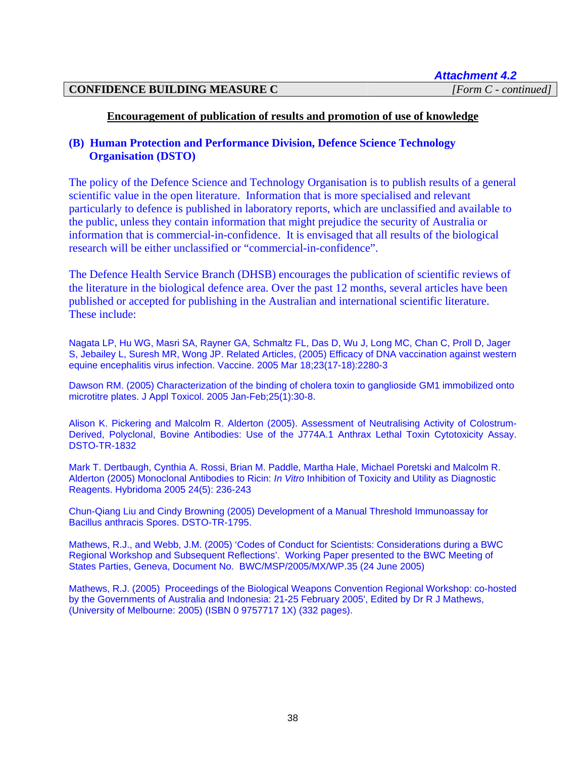#### **Encouragement of publication of results and promotion of use of knowledge**

## **(B) Human Protection and Performance Division, Defence Science Technology Organisation (DSTO)**

The policy of the Defence Science and Technology Organisation is to publish results of a general scientific value in the open literature. Information that is more specialised and relevant particularly to defence is published in laboratory reports, which are unclassified and available to the public, unless they contain information that might prejudice the security of Australia or information that is commercial-in-confidence. It is envisaged that all results of the biological research will be either unclassified or "commercial-in-confidence".

The Defence Health Service Branch (DHSB) encourages the publication of scientific reviews of the literature in the biological defence area. Over the past 12 months, several articles have been published or accepted for publishing in the Australian and international scientific literature. These include:

Nagata LP, Hu WG, Masri SA, Rayner GA, Schmaltz FL, Das D, Wu J, Long MC, Chan C, Proll D, Jager S, Jebailey L, Suresh MR, Wong JP. [Related Articles,](http://www.ncbi.nlm.nih.gov/entrez/query.fcgi?db=pubmed&cmd=Display&dopt=pubmed_pubmed&from_uid=15755611) (2005) Efficacy of DNA vaccination against western equine encephalitis virus infection. Vaccine. 2005 Mar 18;23(17-18):2280-3

Dawson RM. (2005) Characterization of the binding of cholera toxin to ganglioside GM1 immobilized onto microtitre plates. J Appl Toxicol. 2005 Jan-Feb;25(1):30-8.

Alison K. Pickering and Malcolm R. Alderton (2005). Assessment of Neutralising Activity of Colostrum-Derived, Polyclonal, Bovine Antibodies: Use of the J774A.1 Anthrax Lethal Toxin Cytotoxicity Assay. DSTO-TR-1832

Mark T. Dertbaugh, Cynthia A. Rossi, Brian M. Paddle, Martha Hale, Michael Poretski and Malcolm R. Alderton (2005) Monoclonal Antibodies to Ricin: *In Vitro* Inhibition of Toxicity and Utility as Diagnostic Reagents. Hybridoma 2005 24(5): 236-243

Chun-Qiang Liu and Cindy Browning (2005) Development of a Manual Threshold Immunoassay for Bacillus anthracis Spores. DSTO-TR-1795.

Mathews, R.J., and Webb, J.M. (2005) 'Codes of Conduct for Scientists: Considerations during a BWC Regional Workshop and Subsequent Reflections'. Working Paper presented to the BWC Meeting of States Parties, Geneva, Document No. BWC/MSP/2005/MX/WP.35 (24 June 2005)

Mathews, R.J. (2005) Proceedings of the Biological Weapons Convention Regional Workshop: co-hosted by the Governments of Australia and Indonesia: 21-25 February 2005', Edited by Dr R J Mathews, (University of Melbourne: 2005) (ISBN 0 9757717 1X) (332 pages).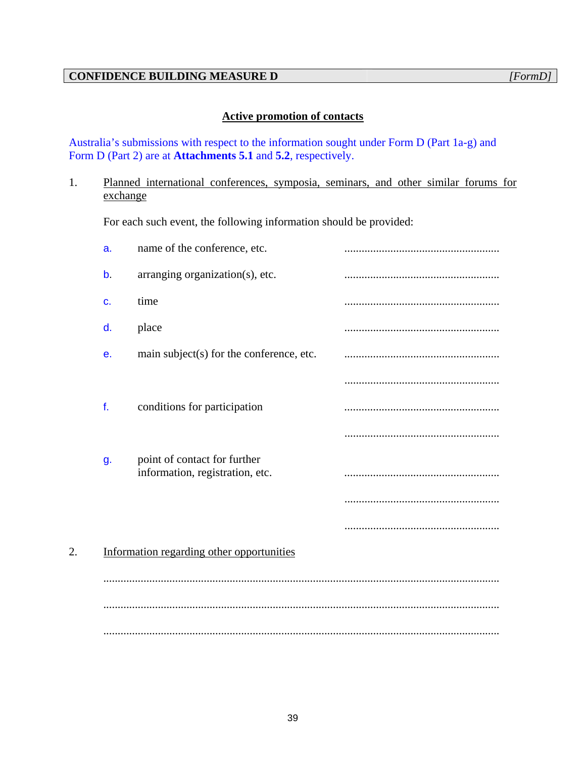# **Active promotion of contacts**

Australia's submissions with respect to the information sought under Form D (Part 1a-g) and Form D (Part 2) are at **Attachments 5.1** and **5.2**, respectively.

# 1. Planned international conferences, symposia, seminars, and other similar forums for exchange

For each such event, the following information should be provided:

|    | a.          | name of the conference, etc.                                    |  |
|----|-------------|-----------------------------------------------------------------|--|
|    | $\mathbf b$ | arranging organization(s), etc.                                 |  |
|    | c.          | time                                                            |  |
|    | d.          | place                                                           |  |
|    | е.          | main subject(s) for the conference, etc.                        |  |
|    |             |                                                                 |  |
|    | f.          | conditions for participation                                    |  |
|    |             |                                                                 |  |
|    | g.          | point of contact for further<br>information, registration, etc. |  |
|    |             |                                                                 |  |
|    |             |                                                                 |  |
| 2. |             | Information regarding other opportunities                       |  |
|    |             |                                                                 |  |
|    |             |                                                                 |  |
|    |             |                                                                 |  |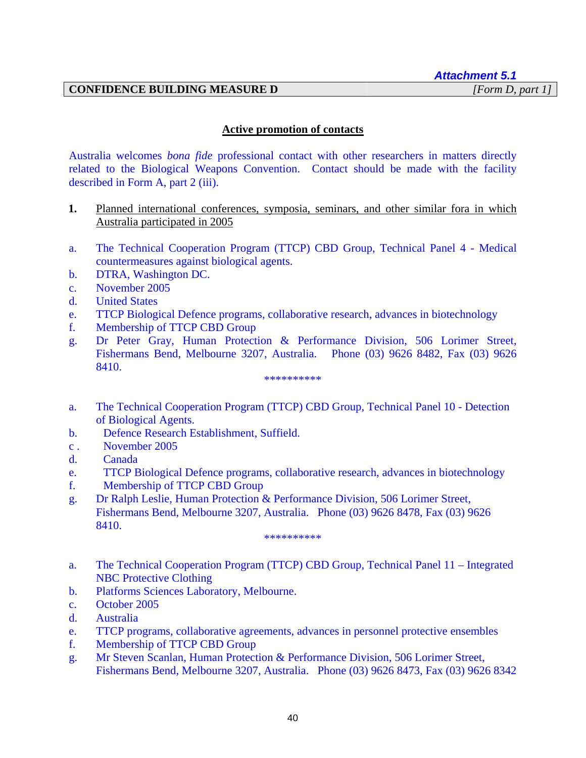# **CONFIDENCE BUILDING MEASURE D**

# **Active promotion of contacts**

Australia welcomes *bona fide* professional contact with other researchers in matters directly related to the Biological Weapons Convention. Contact should be made with the facility described in Form A, part 2 (iii).

- **1.** Planned international conferences, symposia, seminars, and other similar fora in which Australia participated in 2005
- a. The Technical Cooperation Program (TTCP) CBD Group, Technical Panel 4 Medical countermeasures against biological agents.
- b. DTRA, Washington DC.
- c. November 2005
- d. United States
- e. TTCP Biological Defence programs, collaborative research, advances in biotechnology
- f. Membership of TTCP CBD Group
- g. Dr Peter Gray, Human Protection & Performance Division, 506 Lorimer Street, Fishermans Bend, Melbourne 3207, Australia. Phone (03) 9626 8482, Fax (03) 9626 8410.

\*\*\*\*\*\*\*\*\*\*

- a. The Technical Cooperation Program (TTCP) CBD Group, Technical Panel 10 Detection of Biological Agents.
- b. Defence Research Establishment, Suffield.
- c . November 2005
- d. Canada
- e. TTCP Biological Defence programs, collaborative research, advances in biotechnology
- f. Membership of TTCP CBD Group
- g. Dr Ralph Leslie, Human Protection & Performance Division, 506 Lorimer Street, Fishermans Bend, Melbourne 3207, Australia. Phone (03) 9626 8478, Fax (03) 9626 8410.

\*\*\*\*\*\*\*\*\*\*

- a. The Technical Cooperation Program (TTCP) CBD Group, Technical Panel 11 Integrated NBC Protective Clothing
- b. Platforms Sciences Laboratory, Melbourne.
- c. October 2005
- d. Australia
- e. TTCP programs, collaborative agreements, advances in personnel protective ensembles
- f. Membership of TTCP CBD Group
- g. Mr Steven Scanlan, Human Protection & Performance Division, 506 Lorimer Street, Fishermans Bend, Melbourne 3207, Australia. Phone (03) 9626 8473, Fax (03) 9626 8342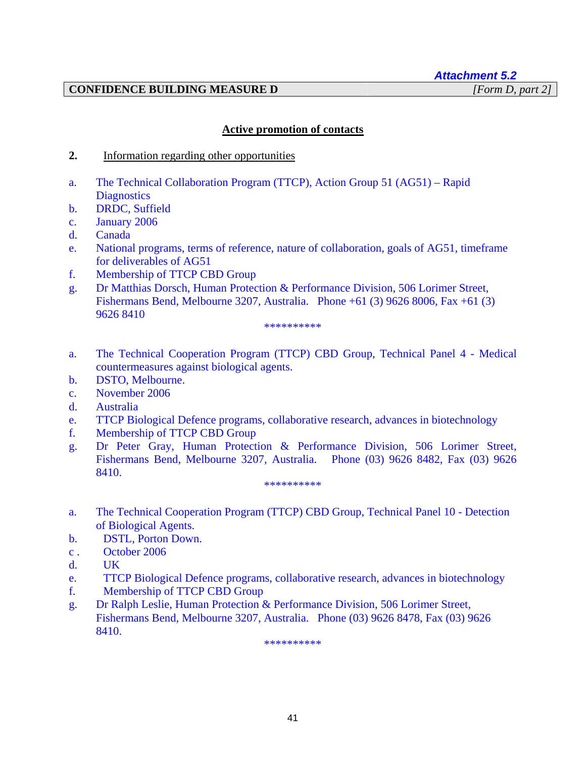# *Attachment 5.2*

# **CONFIDENCE BUILDING MEASURE D** *[Form D, part 2]*

# **Active promotion of contacts**

- **2.** Information regarding other opportunities
- a. The Technical Collaboration Program (TTCP), Action Group 51 (AG51) Rapid **Diagnostics**
- b. DRDC, Suffield
- c. January 2006
- d. Canada
- e. National programs, terms of reference, nature of collaboration, goals of AG51, timeframe for deliverables of AG51
- f. Membership of TTCP CBD Group
- g. Dr Matthias Dorsch, Human Protection & Performance Division, 506 Lorimer Street, Fishermans Bend, Melbourne 3207, Australia. Phone +61 (3) 9626 8006, Fax +61 (3) 9626 8410

#### \*\*\*\*\*\*\*\*\*\*

- a. The Technical Cooperation Program (TTCP) CBD Group, Technical Panel 4 Medical countermeasures against biological agents.
- b. DSTO, Melbourne.
- c. November 2006
- d. Australia
- e. TTCP Biological Defence programs, collaborative research, advances in biotechnology
- f. Membership of TTCP CBD Group
- g. Dr Peter Gray, Human Protection & Performance Division, 506 Lorimer Street, Fishermans Bend, Melbourne 3207, Australia. Phone (03) 9626 8482, Fax (03) 9626 8410.

#### \*\*\*\*\*\*\*\*\*\*

- a. The Technical Cooperation Program (TTCP) CBD Group, Technical Panel 10 Detection of Biological Agents.
- b. DSTL, Porton Down.
- c . October 2006
- d. UK
- e. TTCP Biological Defence programs, collaborative research, advances in biotechnology
- f. Membership of TTCP CBD Group
- g. Dr Ralph Leslie, Human Protection & Performance Division, 506 Lorimer Street, Fishermans Bend, Melbourne 3207, Australia. Phone (03) 9626 8478, Fax (03) 9626 8410.

\*\*\*\*\*\*\*\*\*\*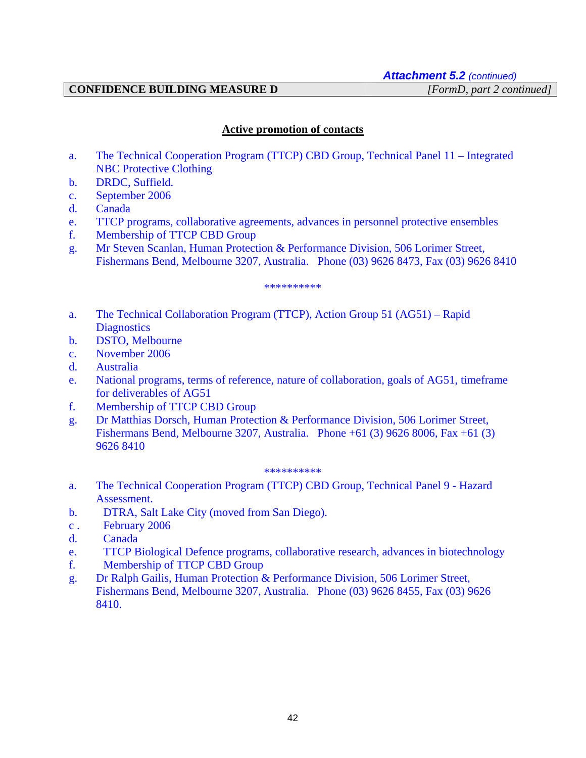# **CONFIDENCE BUILDING MEASURE D** *[FormD, part 2 continued]*

# **Active promotion of contacts**

- a. The Technical Cooperation Program (TTCP) CBD Group, Technical Panel 11 Integrated NBC Protective Clothing
- b. DRDC, Suffield.
- c. September 2006
- d. Canada
- e. TTCP programs, collaborative agreements, advances in personnel protective ensembles
- f. Membership of TTCP CBD Group
- g. Mr Steven Scanlan, Human Protection & Performance Division, 506 Lorimer Street, Fishermans Bend, Melbourne 3207, Australia. Phone (03) 9626 8473, Fax (03) 9626 8410

#### \*\*\*\*\*\*\*\*\*\*

- a. The Technical Collaboration Program (TTCP), Action Group 51 (AG51) Rapid **Diagnostics**
- b. DSTO, Melbourne
- c. November 2006
- d. Australia
- e. National programs, terms of reference, nature of collaboration, goals of AG51, timeframe for deliverables of AG51
- f. Membership of TTCP CBD Group
- g. Dr Matthias Dorsch, Human Protection & Performance Division, 506 Lorimer Street, Fishermans Bend, Melbourne 3207, Australia. Phone +61 (3) 9626 8006, Fax +61 (3) 9626 8410

#### \*\*\*\*\*\*\*\*\*\*

- a. The Technical Cooperation Program (TTCP) CBD Group, Technical Panel 9 Hazard Assessment.
- b. DTRA, Salt Lake City (moved from San Diego).
- c . February 2006
- d. Canada
- e. TTCP Biological Defence programs, collaborative research, advances in biotechnology
- f. Membership of TTCP CBD Group
- g. Dr Ralph Gailis, Human Protection & Performance Division, 506 Lorimer Street, Fishermans Bend, Melbourne 3207, Australia. Phone (03) 9626 8455, Fax (03) 9626 8410.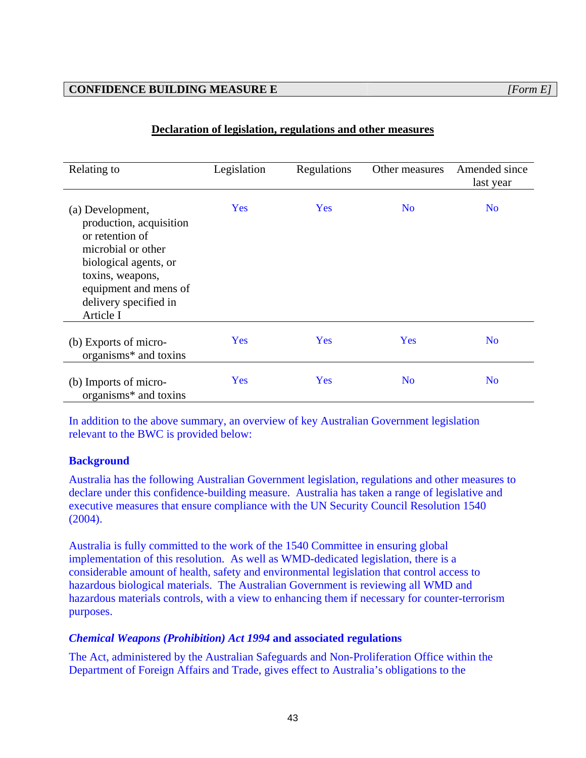# **CONFIDENCE BUILDING MEASURE E** *[Form E]*

| Relating to                                                                                                                                                                                      | Legislation | Regulations | Other measures | Amended since<br>last year |
|--------------------------------------------------------------------------------------------------------------------------------------------------------------------------------------------------|-------------|-------------|----------------|----------------------------|
| (a) Development,<br>production, acquisition<br>or retention of<br>microbial or other<br>biological agents, or<br>toxins, weapons,<br>equipment and mens of<br>delivery specified in<br>Article I | <b>Yes</b>  | <b>Yes</b>  | N <sub>o</sub> | N <sub>o</sub>             |
| (b) Exports of micro-<br>organisms* and toxins                                                                                                                                                   | <b>Yes</b>  | Yes         | <b>Yes</b>     | N <sub>o</sub>             |
| (b) Imports of micro-<br>organisms* and toxins                                                                                                                                                   | <b>Yes</b>  | Yes         | N <sub>o</sub> | N <sub>o</sub>             |

# **Declaration of legislation, regulations and other measures**

In addition to the above summary, an overview of key Australian Government legislation relevant to the BWC is provided below:

# **Background**

Australia has the following Australian Government legislation, regulations and other measures to declare under this confidence-building measure. Australia has taken a range of legislative and executive measures that ensure compliance with the UN Security Council Resolution 1540 (2004).

Australia is fully committed to the work of the 1540 Committee in ensuring global implementation of this resolution. As well as WMD-dedicated legislation, there is a considerable amount of health, safety and environmental legislation that control access to hazardous biological materials. The Australian Government is reviewing all WMD and hazardous materials controls, with a view to enhancing them if necessary for counter-terrorism purposes.

#### *Chemical Weapons (Prohibition) Act 1994* **and associated regulations**

The Act, administered by the Australian Safeguards and Non-Proliferation Office within the Department of Foreign Affairs and Trade, gives effect to Australia's obligations to the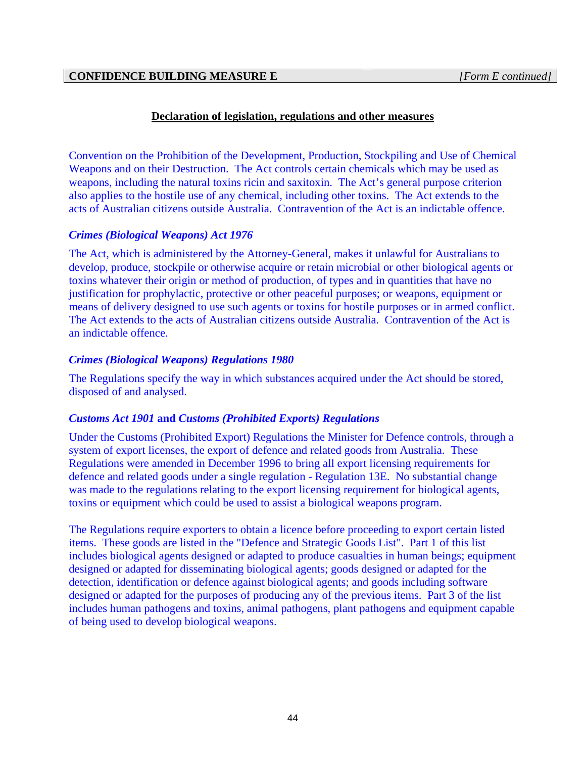Convention on the Prohibition of the Development, Production, Stockpiling and Use of Chemical Weapons and on their Destruction. The Act controls certain chemicals which may be used as weapons, including the natural toxins ricin and saxitoxin. The Act's general purpose criterion also applies to the hostile use of any chemical, including other toxins. The Act extends to the acts of Australian citizens outside Australia. Contravention of the Act is an indictable offence.

# *Crimes (Biological Weapons) Act 1976*

The Act, which is administered by the Attorney-General, makes it unlawful for Australians to develop, produce, stockpile or otherwise acquire or retain microbial or other biological agents or toxins whatever their origin or method of production, of types and in quantities that have no justification for prophylactic, protective or other peaceful purposes; or weapons, equipment or means of delivery designed to use such agents or toxins for hostile purposes or in armed conflict. The Act extends to the acts of Australian citizens outside Australia. Contravention of the Act is an indictable offence.

# *Crimes (Biological Weapons) Regulations 1980*

The Regulations specify the way in which substances acquired under the Act should be stored, disposed of and analysed.

#### *Customs Act 1901* **and** *Customs (Prohibited Exports) Regulations*

Under the Customs (Prohibited Export) Regulations the Minister for Defence controls, through a system of export licenses, the export of defence and related goods from Australia. These Regulations were amended in December 1996 to bring all export licensing requirements for defence and related goods under a single regulation - Regulation 13E. No substantial change was made to the regulations relating to the export licensing requirement for biological agents, toxins or equipment which could be used to assist a biological weapons program.

The Regulations require exporters to obtain a licence before proceeding to export certain listed items. These goods are listed in the "Defence and Strategic Goods List". Part 1 of this list includes biological agents designed or adapted to produce casualties in human beings; equipment designed or adapted for disseminating biological agents; goods designed or adapted for the detection, identification or defence against biological agents; and goods including software designed or adapted for the purposes of producing any of the previous items. Part 3 of the list includes human pathogens and toxins, animal pathogens, plant pathogens and equipment capable of being used to develop biological weapons.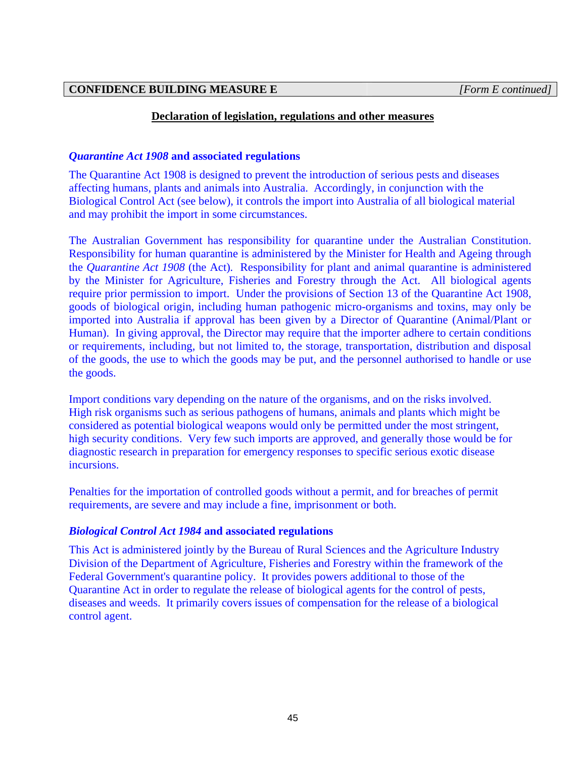# *Quarantine Act 1908* **and associated regulations**

The Quarantine Act 1908 is designed to prevent the introduction of serious pests and diseases affecting humans, plants and animals into Australia. Accordingly, in conjunction with the Biological Control Act (see below), it controls the import into Australia of all biological material and may prohibit the import in some circumstances.

The Australian Government has responsibility for quarantine under the Australian Constitution. Responsibility for human quarantine is administered by the Minister for Health and Ageing through the *Quarantine Act 1908* (the Act)*.* Responsibility for plant and animal quarantine is administered by the Minister for Agriculture, Fisheries and Forestry through the Act. All biological agents require prior permission to import. Under the provisions of Section 13 of the Quarantine Act 1908, goods of biological origin, including human pathogenic micro-organisms and toxins, may only be imported into Australia if approval has been given by a Director of Quarantine (Animal/Plant or Human). In giving approval, the Director may require that the importer adhere to certain conditions or requirements, including, but not limited to, the storage, transportation, distribution and disposal of the goods, the use to which the goods may be put, and the personnel authorised to handle or use the goods.

Import conditions vary depending on the nature of the organisms, and on the risks involved. High risk organisms such as serious pathogens of humans, animals and plants which might be considered as potential biological weapons would only be permitted under the most stringent, high security conditions. Very few such imports are approved, and generally those would be for diagnostic research in preparation for emergency responses to specific serious exotic disease incursions.

Penalties for the importation of controlled goods without a permit, and for breaches of permit requirements, are severe and may include a fine, imprisonment or both.

#### *Biological Control Act 1984* **and associated regulations**

This Act is administered jointly by the Bureau of Rural Sciences and the Agriculture Industry Division of the Department of Agriculture, Fisheries and Forestry within the framework of the Federal Government's quarantine policy. It provides powers additional to those of the Quarantine Act in order to regulate the release of biological agents for the control of pests, diseases and weeds. It primarily covers issues of compensation for the release of a biological control agent.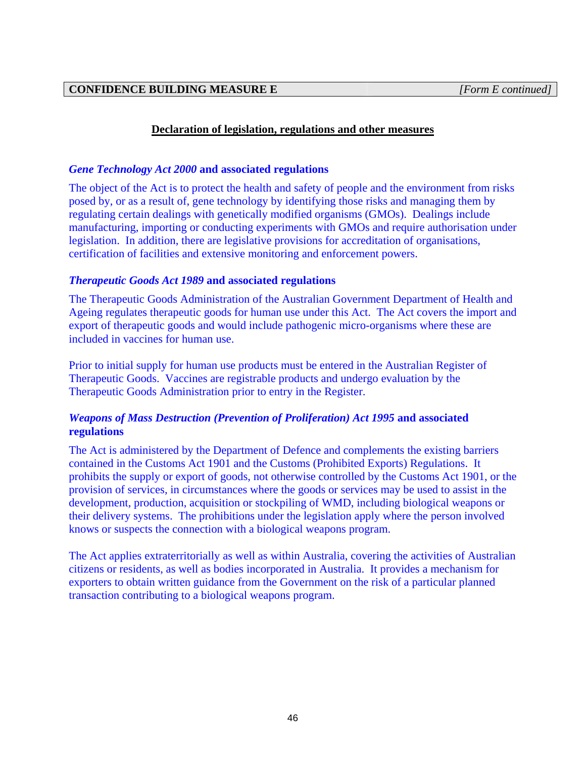# *Gene Technology Act 2000* **and associated regulations**

The object of the Act is to protect the health and safety of people and the environment from risks posed by, or as a result of, gene technology by identifying those risks and managing them by regulating certain dealings with genetically modified organisms (GMOs). Dealings include manufacturing, importing or conducting experiments with GMOs and require authorisation under legislation. In addition, there are legislative provisions for accreditation of organisations, certification of facilities and extensive monitoring and enforcement powers.

# *Therapeutic Goods Act 1989* **and associated regulations**

The Therapeutic Goods Administration of the Australian Government Department of Health and Ageing regulates therapeutic goods for human use under this Act. The Act covers the import and export of therapeutic goods and would include pathogenic micro-organisms where these are included in vaccines for human use.

Prior to initial supply for human use products must be entered in the Australian Register of Therapeutic Goods. Vaccines are registrable products and undergo evaluation by the Therapeutic Goods Administration prior to entry in the Register.

# *Weapons of Mass Destruction (Prevention of Proliferation) Act 1995* **and associated regulations**

The Act is administered by the Department of Defence and complements the existing barriers contained in the Customs Act 1901 and the Customs (Prohibited Exports) Regulations. It prohibits the supply or export of goods, not otherwise controlled by the Customs Act 1901, or the provision of services, in circumstances where the goods or services may be used to assist in the development, production, acquisition or stockpiling of WMD, including biological weapons or their delivery systems. The prohibitions under the legislation apply where the person involved knows or suspects the connection with a biological weapons program.

The Act applies extraterritorially as well as within Australia, covering the activities of Australian citizens or residents, as well as bodies incorporated in Australia. It provides a mechanism for exporters to obtain written guidance from the Government on the risk of a particular planned transaction contributing to a biological weapons program.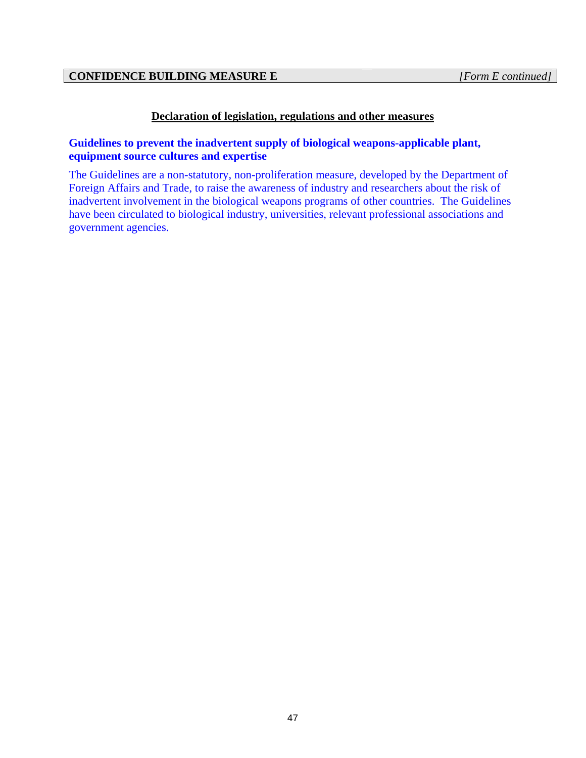# **Guidelines to prevent the inadvertent supply of biological weapons-applicable plant, equipment source cultures and expertise**

The Guidelines are a non-statutory, non-proliferation measure, developed by the Department of Foreign Affairs and Trade, to raise the awareness of industry and researchers about the risk of inadvertent involvement in the biological weapons programs of other countries. The Guidelines have been circulated to biological industry, universities, relevant professional associations and government agencies.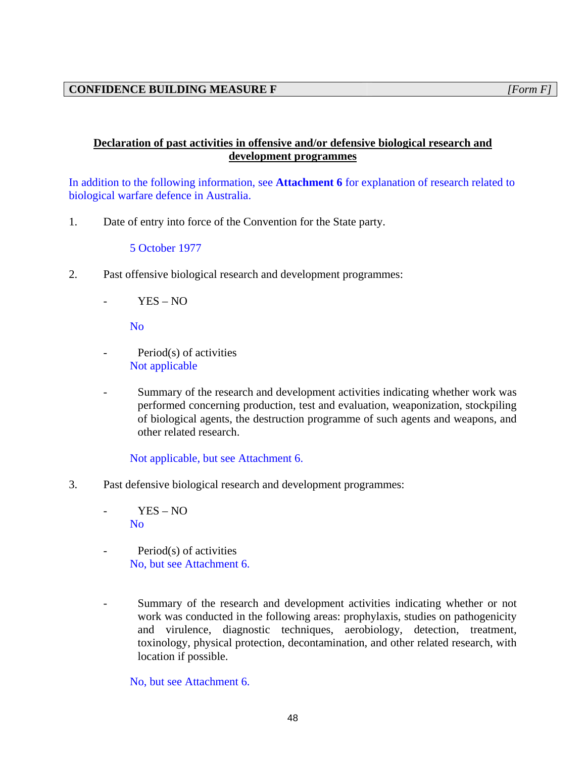# **Declaration of past activities in offensive and/or defensive biological research and development programmes**

In addition to the following information, see **Attachment 6** for explanation of research related to biological warfare defence in Australia.

1. Date of entry into force of the Convention for the State party.

5 October 1977

- 2. Past offensive biological research and development programmes:
	- $YES NO$

No

- Period(s) of activities Not applicable
- Summary of the research and development activities indicating whether work was performed concerning production, test and evaluation, weaponization, stockpiling of biological agents, the destruction programme of such agents and weapons, and other related research.

Not applicable, but see Attachment 6.

- 3. Past defensive biological research and development programmes:
	- YES NO No
	- Period(s) of activities No, but see Attachment 6.
	- Summary of the research and development activities indicating whether or not work was conducted in the following areas: prophylaxis, studies on pathogenicity and virulence, diagnostic techniques, aerobiology, detection, treatment, toxinology, physical protection, decontamination, and other related research, with location if possible.

No, but see Attachment 6.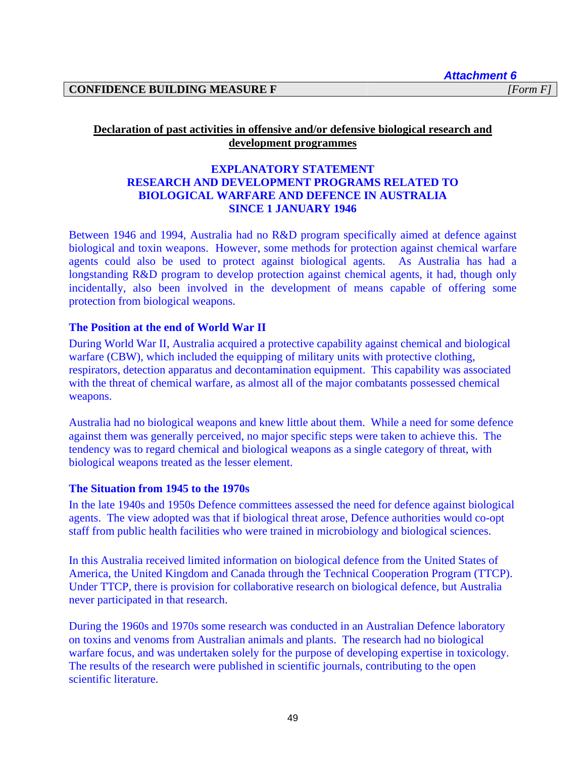*Attachment 6* 

# **Declaration of past activities in offensive and/or defensive biological research and development programmes**

# **EXPLANATORY STATEMENT RESEARCH AND DEVELOPMENT PROGRAMS RELATED TO BIOLOGICAL WARFARE AND DEFENCE IN AUSTRALIA SINCE 1 JANUARY 1946**

Between 1946 and 1994, Australia had no R&D program specifically aimed at defence against biological and toxin weapons. However, some methods for protection against chemical warfare agents could also be used to protect against biological agents. As Australia has had a longstanding R&D program to develop protection against chemical agents, it had, though only incidentally, also been involved in the development of means capable of offering some protection from biological weapons.

# **The Position at the end of World War II**

During World War II, Australia acquired a protective capability against chemical and biological warfare (CBW), which included the equipping of military units with protective clothing, respirators, detection apparatus and decontamination equipment. This capability was associated with the threat of chemical warfare, as almost all of the major combatants possessed chemical weapons.

Australia had no biological weapons and knew little about them. While a need for some defence against them was generally perceived, no major specific steps were taken to achieve this. The tendency was to regard chemical and biological weapons as a single category of threat, with biological weapons treated as the lesser element.

#### **The Situation from 1945 to the 1970s**

In the late 1940s and 1950s Defence committees assessed the need for defence against biological agents. The view adopted was that if biological threat arose, Defence authorities would co-opt staff from public health facilities who were trained in microbiology and biological sciences.

In this Australia received limited information on biological defence from the United States of America, the United Kingdom and Canada through the Technical Cooperation Program (TTCP). Under TTCP, there is provision for collaborative research on biological defence, but Australia never participated in that research.

During the 1960s and 1970s some research was conducted in an Australian Defence laboratory on toxins and venoms from Australian animals and plants. The research had no biological warfare focus, and was undertaken solely for the purpose of developing expertise in toxicology. The results of the research were published in scientific journals, contributing to the open scientific literature.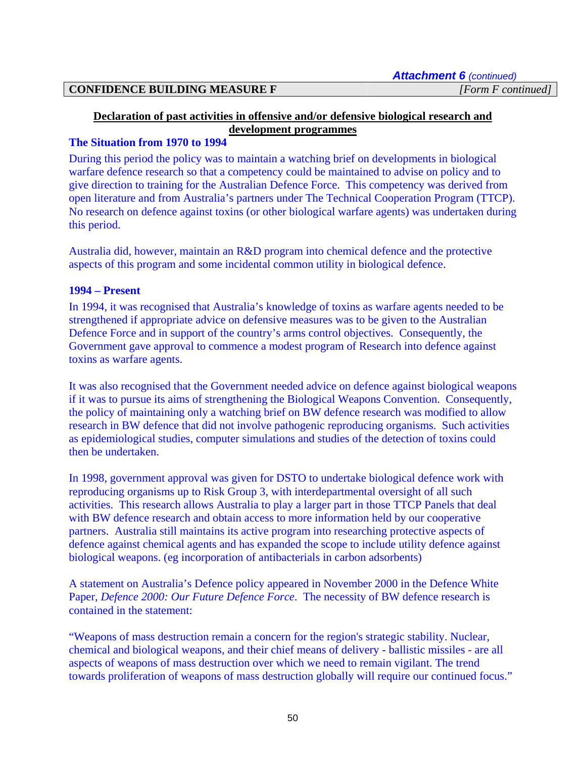#### **Declaration of past activities in offensive and/or defensive biological research and development programmes**

#### **The Situation from 1970 to 1994**

During this period the policy was to maintain a watching brief on developments in biological warfare defence research so that a competency could be maintained to advise on policy and to give direction to training for the Australian Defence Force. This competency was derived from open literature and from Australia's partners under The Technical Cooperation Program (TTCP). No research on defence against toxins (or other biological warfare agents) was undertaken during this period.

Australia did, however, maintain an R&D program into chemical defence and the protective aspects of this program and some incidental common utility in biological defence.

#### **1994 – Present**

In 1994, it was recognised that Australia's knowledge of toxins as warfare agents needed to be strengthened if appropriate advice on defensive measures was to be given to the Australian Defence Force and in support of the country's arms control objectives. Consequently, the Government gave approval to commence a modest program of Research into defence against toxins as warfare agents.

It was also recognised that the Government needed advice on defence against biological weapons if it was to pursue its aims of strengthening the Biological Weapons Convention. Consequently, the policy of maintaining only a watching brief on BW defence research was modified to allow research in BW defence that did not involve pathogenic reproducing organisms. Such activities as epidemiological studies, computer simulations and studies of the detection of toxins could then be undertaken.

In 1998, government approval was given for DSTO to undertake biological defence work with reproducing organisms up to Risk Group 3, with interdepartmental oversight of all such activities. This research allows Australia to play a larger part in those TTCP Panels that deal with BW defence research and obtain access to more information held by our cooperative partners. Australia still maintains its active program into researching protective aspects of defence against chemical agents and has expanded the scope to include utility defence against biological weapons. (eg incorporation of antibacterials in carbon adsorbents)

A statement on Australia's Defence policy appeared in November 2000 in the Defence White Paper, *Defence 2000: Our Future Defence Force*. The necessity of BW defence research is contained in the statement:

"Weapons of mass destruction remain a concern for the region's strategic stability. Nuclear, chemical and biological weapons, and their chief means of delivery - ballistic missiles - are all aspects of weapons of mass destruction over which we need to remain vigilant. The trend towards proliferation of weapons of mass destruction globally will require our continued focus."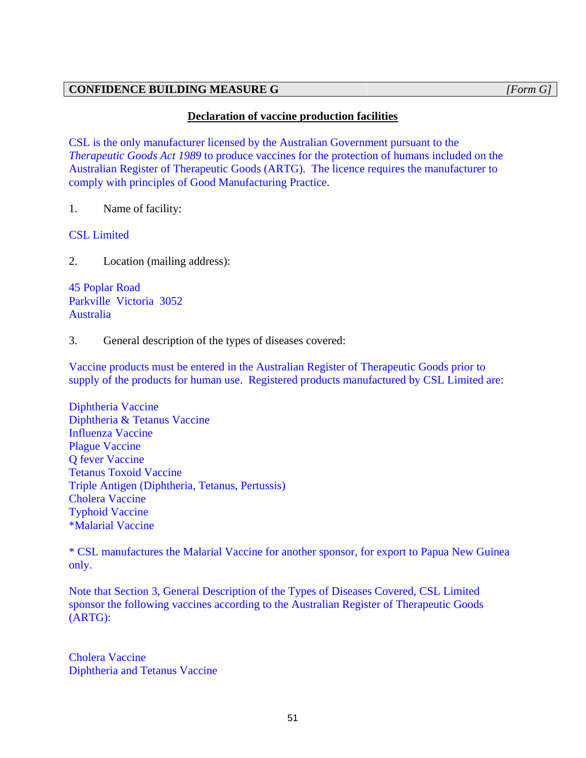# **CONFIDENCE BUILDING MEASURE G** *[Form G]*

# **Declaration of vaccine production facilities**

CSL is the only manufacturer licensed by the Australian Government pursuant to the *Therapeutic Goods Act 1989* to produce vaccines for the protection of humans included on the Australian Register of Therapeutic Goods (ARTG). The licence requires the manufacturer to comply with principles of Good Manufacturing Practice.

1. Name of facility:

CSL Limited

2. Location (mailing address):

45 Poplar Road Parkville Victoria 3052 Australia

3. General description of the types of diseases covered:

Vaccine products must be entered in the Australian Register of Therapeutic Goods prior to supply of the products for human use. Registered products manufactured by CSL Limited are:

Diphtheria Vaccine Diphtheria & Tetanus Vaccine Influenza Vaccine Plague Vaccine Q fever Vaccine Tetanus Toxoid Vaccine Triple Antigen (Diphtheria, Tetanus, Pertussis) Cholera Vaccine Typhoid Vaccine \*Malarial Vaccine

\* CSL manufactures the Malarial Vaccine for another sponsor, for export to Papua New Guinea only.

Note that Section 3, General Description of the Types of Diseases Covered, CSL Limited sponsor the following vaccines according to the Australian Register of Therapeutic Goods (ARTG):

Cholera Vaccine Diphtheria and Tetanus Vaccine